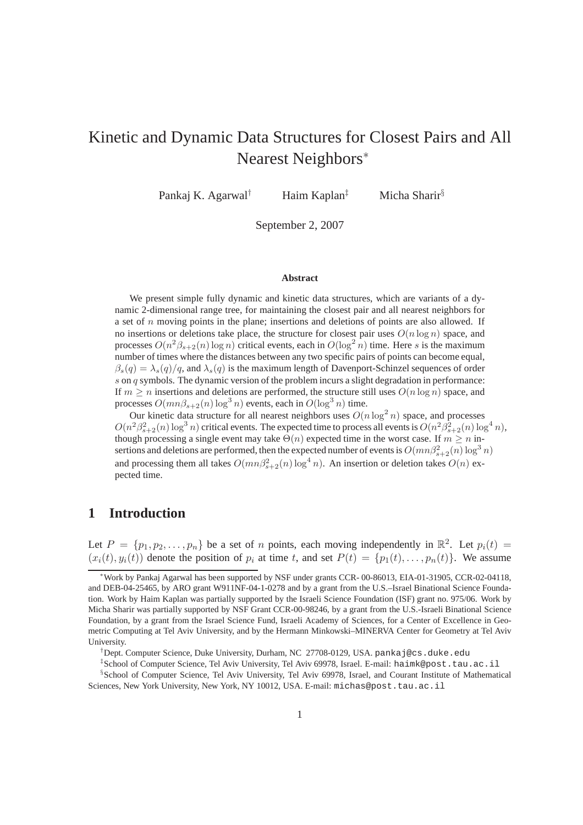# Kinetic and Dynamic Data Structures for Closest Pairs and All Nearest Neighbors<sup>∗</sup>

Pankaj K. Agarwal<sup>†</sup> Haim Kaplan<sup>‡</sup> Micha Sharir<sup>§</sup>

September 2, 2007

#### **Abstract**

We present simple fully dynamic and kinetic data structures, which are variants of a dynamic 2-dimensional range tree, for maintaining the closest pair and all nearest neighbors for a set of  $n$  moving points in the plane; insertions and deletions of points are also allowed. If no insertions or deletions take place, the structure for closest pair uses  $O(n \log n)$  space, and processes  $O(n^2\beta_{s+2}(n)\log n)$  critical events, each in  $O(\log^2 n)$  time. Here s is the maximum number of times where the distances between any two specific pairs of points can become equal,  $\beta_s(q) = \lambda_s(q)/q$ , and  $\lambda_s(q)$  is the maximum length of Davenport-Schinzel sequences of order s on q symbols. The dynamic version of the problem incurs a slight degradation in performance: If  $m \geq n$  insertions and deletions are performed, the structure still uses  $O(n \log n)$  space, and processes  $O(mn\beta_{s+2}(n) \log^3 n)$  events, each in  $O(\log^3 n)$  time.

Our kinetic data structure for all nearest neighbors uses  $O(n \log^2 n)$  space, and processes  $O(n^2\beta_{s+2}^2(n) \log^3 n)$  critical events. The expected time to process all events is  $O(n^2\beta_{s+2}^2(n) \log^4 n)$ , though processing a single event may take  $\Theta(n)$  expected time in the worst case. If  $m \geq n$  insertions and deletions are performed, then the expected number of events is  $O(mn\beta_{s+2}^2(n) \log^3 n)$ and processing them all takes  $O(mn\beta_{s+2}^2(n)\log^4 n)$ . An insertion or deletion takes  $O(n)$  expected time.

### **1 Introduction**

Let  $P = \{p_1, p_2, \dots, p_n\}$  be a set of n points, each moving independently in  $\mathbb{R}^2$ . Let  $p_i(t) =$  $(x_i(t), y_i(t))$  denote the position of  $p_i$  at time t, and set  $P(t) = \{p_1(t), \ldots, p_n(t)\}\.$  We assume

<sup>∗</sup>Work by Pankaj Agarwal has been supported by NSF under grants CCR- 00-86013, EIA-01-31905, CCR-02-04118, and DEB-04-25465, by ARO grant W911NF-04-1-0278 and by a grant from the U.S.–Israel Binational Science Foundation. Work by Haim Kaplan was partially supported by the Israeli Science Foundation (ISF) grant no. 975/06. Work by Micha Sharir was partially supported by NSF Grant CCR-00-98246, by a grant from the U.S.-Israeli Binational Science Foundation, by a grant from the Israel Science Fund, Israeli Academy of Sciences, for a Center of Excellence in Geometric Computing at Tel Aviv University, and by the Hermann Minkowski–MINERVA Center for Geometry at Tel Aviv University.

<sup>†</sup>Dept. Computer Science, Duke University, Durham, NC 27708-0129, USA. pankaj@cs.duke.edu

<sup>‡</sup> School of Computer Science, Tel Aviv University, Tel Aviv 69978, Israel. E-mail: haimk@post.tau.ac.il § School of Computer Science, Tel Aviv University, Tel Aviv 69978, Israel, and Courant Institute of Mathematical

Sciences, New York University, New York, NY 10012, USA. E-mail: michas@post.tau.ac.il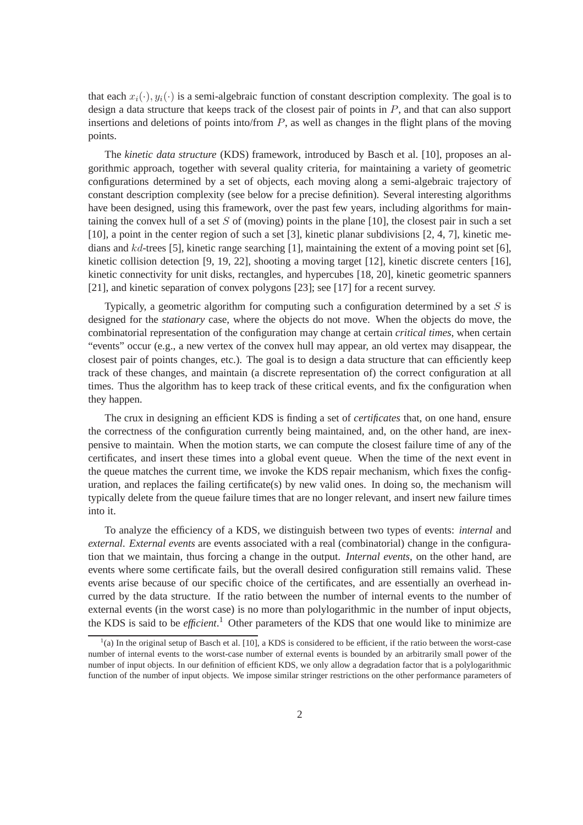that each  $x_i(\cdot)$ ,  $y_i(\cdot)$  is a semi-algebraic function of constant description complexity. The goal is to design a data structure that keeps track of the closest pair of points in P, and that can also support insertions and deletions of points into/from  $P$ , as well as changes in the flight plans of the moving points.

The *kinetic data structure* (KDS) framework, introduced by Basch et al. [10], proposes an algorithmic approach, together with several quality criteria, for maintaining a variety of geometric configurations determined by a set of objects, each moving along a semi-algebraic trajectory of constant description complexity (see below for a precise definition). Several interesting algorithms have been designed, using this framework, over the past few years, including algorithms for maintaining the convex hull of a set S of (moving) points in the plane [10], the closest pair in such a set [10], a point in the center region of such a set [3], kinetic planar subdivisions [2, 4, 7], kinetic medians and kd-trees [5], kinetic range searching [1], maintaining the extent of a moving point set [6], kinetic collision detection [9, 19, 22], shooting a moving target [12], kinetic discrete centers [16], kinetic connectivity for unit disks, rectangles, and hypercubes [18, 20], kinetic geometric spanners [21], and kinetic separation of convex polygons [23]; see [17] for a recent survey.

Typically, a geometric algorithm for computing such a configuration determined by a set  $S$  is designed for the *stationary* case, where the objects do not move. When the objects do move, the combinatorial representation of the configuration may change at certain *critical times*, when certain "events" occur (e.g., a new vertex of the convex hull may appear, an old vertex may disappear, the closest pair of points changes, etc.). The goal is to design a data structure that can efficiently keep track of these changes, and maintain (a discrete representation of) the correct configuration at all times. Thus the algorithm has to keep track of these critical events, and fix the configuration when they happen.

The crux in designing an efficient KDS is finding a set of *certificates* that, on one hand, ensure the correctness of the configuration currently being maintained, and, on the other hand, are inexpensive to maintain. When the motion starts, we can compute the closest failure time of any of the certificates, and insert these times into a global event queue. When the time of the next event in the queue matches the current time, we invoke the KDS repair mechanism, which fixes the configuration, and replaces the failing certificate(s) by new valid ones. In doing so, the mechanism will typically delete from the queue failure times that are no longer relevant, and insert new failure times into it.

To analyze the efficiency of a KDS, we distinguish between two types of events: *internal* and *external*. *External events* are events associated with a real (combinatorial) change in the configuration that we maintain, thus forcing a change in the output. *Internal events*, on the other hand, are events where some certificate fails, but the overall desired configuration still remains valid. These events arise because of our specific choice of the certificates, and are essentially an overhead incurred by the data structure. If the ratio between the number of internal events to the number of external events (in the worst case) is no more than polylogarithmic in the number of input objects, the KDS is said to be *efficient*. <sup>1</sup> Other parameters of the KDS that one would like to minimize are

 $<sup>1</sup>(a)$  In the original setup of Basch et al. [10], a KDS is considered to be efficient, if the ratio between the worst-case</sup> number of internal events to the worst-case number of external events is bounded by an arbitrarily small power of the number of input objects. In our definition of efficient KDS, we only allow a degradation factor that is a polylogarithmic function of the number of input objects. We impose similar stringer restrictions on the other performance parameters of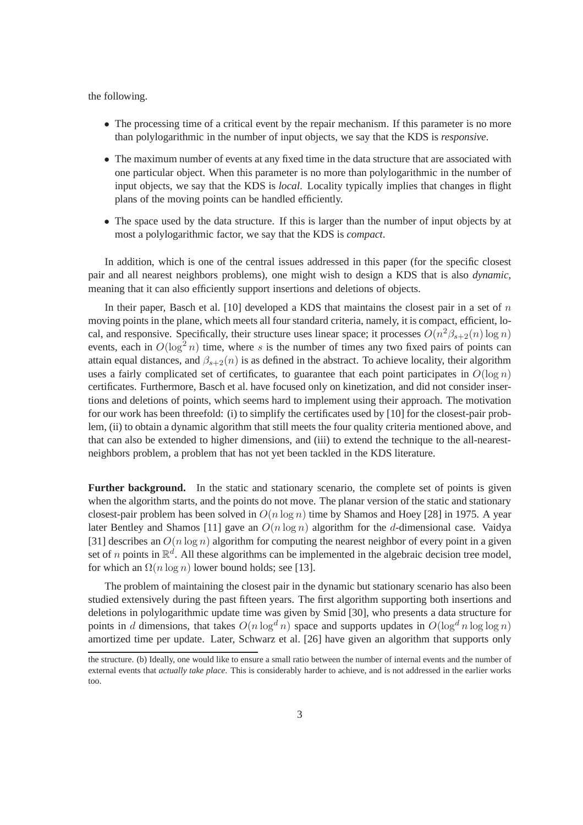the following.

- The processing time of a critical event by the repair mechanism. If this parameter is no more than polylogarithmic in the number of input objects, we say that the KDS is *responsive*.
- The maximum number of events at any fixed time in the data structure that are associated with one particular object. When this parameter is no more than polylogarithmic in the number of input objects, we say that the KDS is *local*. Locality typically implies that changes in flight plans of the moving points can be handled efficiently.
- The space used by the data structure. If this is larger than the number of input objects by at most a polylogarithmic factor, we say that the KDS is *compact*.

In addition, which is one of the central issues addressed in this paper (for the specific closest pair and all nearest neighbors problems), one might wish to design a KDS that is also *dynamic*, meaning that it can also efficiently support insertions and deletions of objects.

In their paper, Basch et al. [10] developed a KDS that maintains the closest pair in a set of  $n$ moving points in the plane, which meets all four standard criteria, namely, it is compact, efficient, local, and responsive. Specifically, their structure uses linear space; it processes  $O(n^2\beta_{s+2}(n)\log n)$ events, each in  $O(\log^2 n)$  time, where s is the number of times any two fixed pairs of points can attain equal distances, and  $\beta_{s+2}(n)$  is as defined in the abstract. To achieve locality, their algorithm uses a fairly complicated set of certificates, to guarantee that each point participates in  $O(\log n)$ certificates. Furthermore, Basch et al. have focused only on kinetization, and did not consider insertions and deletions of points, which seems hard to implement using their approach. The motivation for our work has been threefold: (i) to simplify the certificates used by [10] for the closest-pair problem, (ii) to obtain a dynamic algorithm that still meets the four quality criteria mentioned above, and that can also be extended to higher dimensions, and (iii) to extend the technique to the all-nearestneighbors problem, a problem that has not yet been tackled in the KDS literature.

**Further background.** In the static and stationary scenario, the complete set of points is given when the algorithm starts, and the points do not move. The planar version of the static and stationary closest-pair problem has been solved in  $O(n \log n)$  time by Shamos and Hoey [28] in 1975. A year later Bentley and Shamos [11] gave an  $O(n \log n)$  algorithm for the d-dimensional case. Vaidya [31] describes an  $O(n \log n)$  algorithm for computing the nearest neighbor of every point in a given set of *n* points in  $\mathbb{R}^d$ . All these algorithms can be implemented in the algebraic decision tree model, for which an  $\Omega(n \log n)$  lower bound holds; see [13].

The problem of maintaining the closest pair in the dynamic but stationary scenario has also been studied extensively during the past fifteen years. The first algorithm supporting both insertions and deletions in polylogarithmic update time was given by Smid [30], who presents a data structure for points in d dimensions, that takes  $O(n \log^d n)$  space and supports updates in  $O(\log^d n \log \log n)$ amortized time per update. Later, Schwarz et al. [26] have given an algorithm that supports only

the structure. (b) Ideally, one would like to ensure a small ratio between the number of internal events and the number of external events that *actually take place*. This is considerably harder to achieve, and is not addressed in the earlier works too.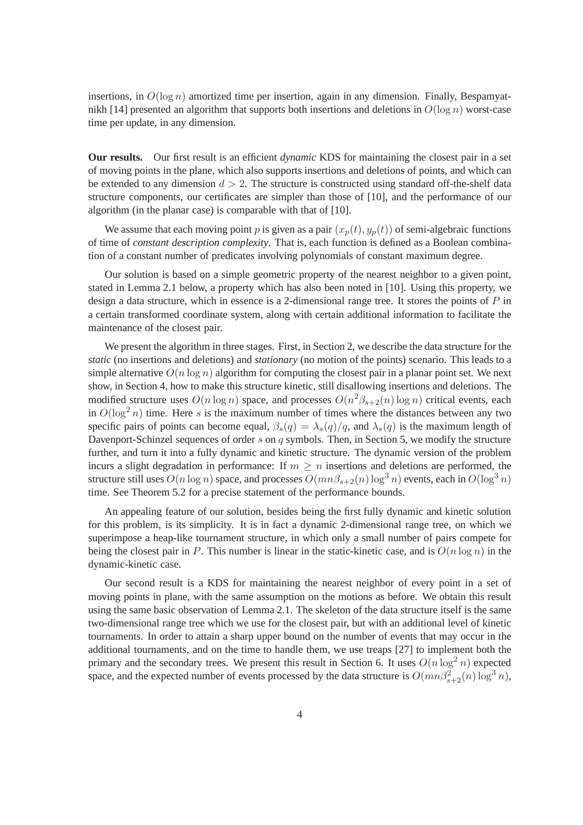insertions, in  $O(\log n)$  amortized time per insertion, again in any dimension. Finally, Bespamyatnikh [14] presented an algorithm that supports both insertions and deletions in  $O(\log n)$  worst-case time per update, in any dimension.

**Our results.** Our first result is an efficient *dynamic* KDS for maintaining the closest pair in a set of moving points in the plane, which also supports insertions and deletions of points, and which can be extended to any dimension  $d > 2$ . The structure is constructed using standard off-the-shelf data structure components, our certificates are simpler than those of [10], and the performance of our algorithm (in the planar case) is comparable with that of [10].

We assume that each moving point p is given as a pair  $(x_p(t), y_p(t))$  of semi-algebraic functions of time of *constant description complexity*. That is, each function is defined as a Boolean combination of a constant number of predicates involving polynomials of constant maximum degree.

Our solution is based on a simple geometric property of the nearest neighbor to a given point, stated in Lemma 2.1 below, a property which has also been noted in [10]. Using this property, we design a data structure, which in essence is a 2-dimensional range tree. It stores the points of  $P$  in a certain transformed coordinate system, along with certain additional information to facilitate the maintenance of the closest pair.

We present the algorithm in three stages. First, in Section 2, we describe the data structure for the *static* (no insertions and deletions) and *stationary* (no motion of the points) scenario. This leads to a simple alternative  $O(n \log n)$  algorithm for computing the closest pair in a planar point set. We next show, in Section 4, how to make this structure kinetic, still disallowing insertions and deletions. The modified structure uses  $O(n \log n)$  space, and processes  $O(n^2 \beta_{s+2}(n) \log n)$  critical events, each in  $O(\log^2 n)$  time. Here s is the maximum number of times where the distances between any two specific pairs of points can become equal,  $\beta_s(q) = \lambda_s(q)/q$ , and  $\lambda_s(q)$  is the maximum length of Davenport-Schinzel sequences of order s on q symbols. Then, in Section 5, we modify the structure further, and turn it into a fully dynamic and kinetic structure. The dynamic version of the problem incurs a slight degradation in performance: If  $m \geq n$  insertions and deletions are performed, the structure still uses  $O(n \log n)$  space, and processes  $O(mn\beta_{s+2}(n) \log^3 n)$  events, each in  $O(\log^3 n)$ time. See Theorem 5.2 for a precise statement of the performance bounds.

An appealing feature of our solution, besides being the first fully dynamic and kinetic solution for this problem, is its simplicity. It is in fact a dynamic 2-dimensional range tree, on which we superimpose a heap-like tournament structure, in which only a small number of pairs compete for being the closest pair in P. This number is linear in the static-kinetic case, and is  $O(n \log n)$  in the dynamic-kinetic case.

Our second result is a KDS for maintaining the nearest neighbor of every point in a set of moving points in plane, with the same assumption on the motions as before. We obtain this result using the same basic observation of Lemma 2.1. The skeleton of the data structure itself is the same two-dimensional range tree which we use for the closest pair, but with an additional level of kinetic tournaments. In order to attain a sharp upper bound on the number of events that may occur in the additional tournaments, and on the time to handle them, we use treaps [27] to implement both the primary and the secondary trees. We present this result in Section 6. It uses  $O(n \log^2 n)$  expected space, and the expected number of events processed by the data structure is  $O(mn\beta_{s+2}^2(n) \log^3 n)$ ,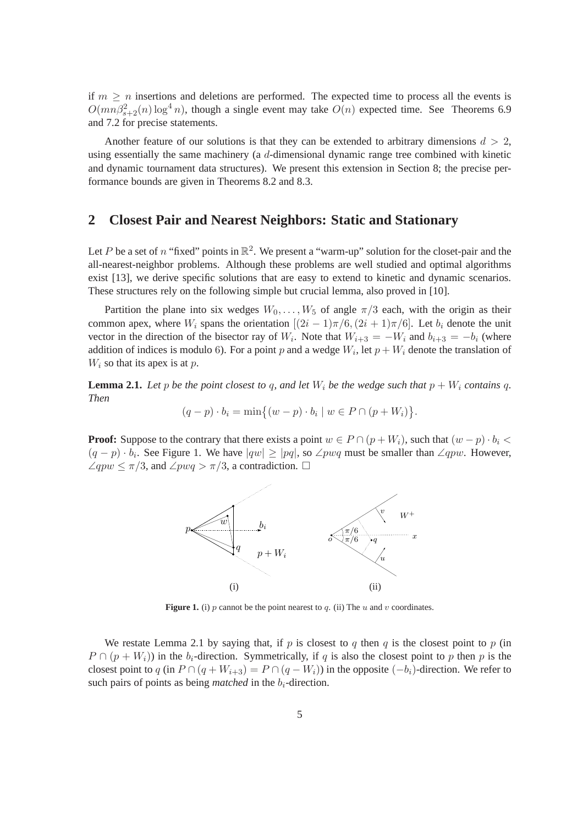if  $m \geq n$  insertions and deletions are performed. The expected time to process all the events is  $O(mn\beta_{s+2}^2(n)\log^4 n)$ , though a single event may take  $O(n)$  expected time. See Theorems 6.9 and 7.2 for precise statements.

Another feature of our solutions is that they can be extended to arbitrary dimensions  $d > 2$ , using essentially the same machinery (a d-dimensional dynamic range tree combined with kinetic and dynamic tournament data structures). We present this extension in Section 8; the precise performance bounds are given in Theorems 8.2 and 8.3.

### **2 Closest Pair and Nearest Neighbors: Static and Stationary**

Let P be a set of n "fixed" points in  $\mathbb{R}^2$ . We present a "warm-up" solution for the closet-pair and the all-nearest-neighbor problems. Although these problems are well studied and optimal algorithms exist [13], we derive specific solutions that are easy to extend to kinetic and dynamic scenarios. These structures rely on the following simple but crucial lemma, also proved in [10].

Partition the plane into six wedges  $W_0, \ldots, W_5$  of angle  $\pi/3$  each, with the origin as their common apex, where  $W_i$  spans the orientation  $[(2i - 1)\pi/6, (2i + 1)\pi/6]$ . Let  $b_i$  denote the unit vector in the direction of the bisector ray of  $W_i$ . Note that  $W_{i+3} = -W_i$  and  $b_{i+3} = -b_i$  (where addition of indices is modulo 6). For a point p and a wedge  $W_i$ , let  $p + W_i$  denote the translation of  $W_i$  so that its apex is at p.

**Lemma 2.1.** Let p be the point closest to q, and let  $W_i$  be the wedge such that  $p + W_i$  contains q. *Then*

$$
(q-p)\cdot b_i = \min\{(w-p)\cdot b_i \mid w \in P \cap (p+W_i)\}.
$$

**Proof:** Suppose to the contrary that there exists a point  $w \in P \cap (p + W_i)$ , such that  $(w - p) \cdot b_i$  $(q - p) \cdot b_i$ . See Figure 1. We have  $|qw| \geq |pq|$ , so  $\angle p w q$  must be smaller than  $\angle q p w$ . However,  $\angle qpw \leq \pi/3$ , and  $\angle pwq > \pi/3$ , a contradiction.  $\Box$ 



**Figure 1.** (i) p cannot be the point nearest to q. (ii) The  $u$  and  $v$  coordinates.

We restate Lemma 2.1 by saying that, if p is closest to q then q is the closest point to p (in  $P \cap (p + W_i)$  in the  $b_i$ -direction. Symmetrically, if q is also the closest point to p then p is the closest point to q (in  $P \cap (q + W_{i+3}) = P \cap (q - W_i)$ ) in the opposite  $(-b_i)$ -direction. We refer to such pairs of points as being *matched* in the  $b_i$ -direction.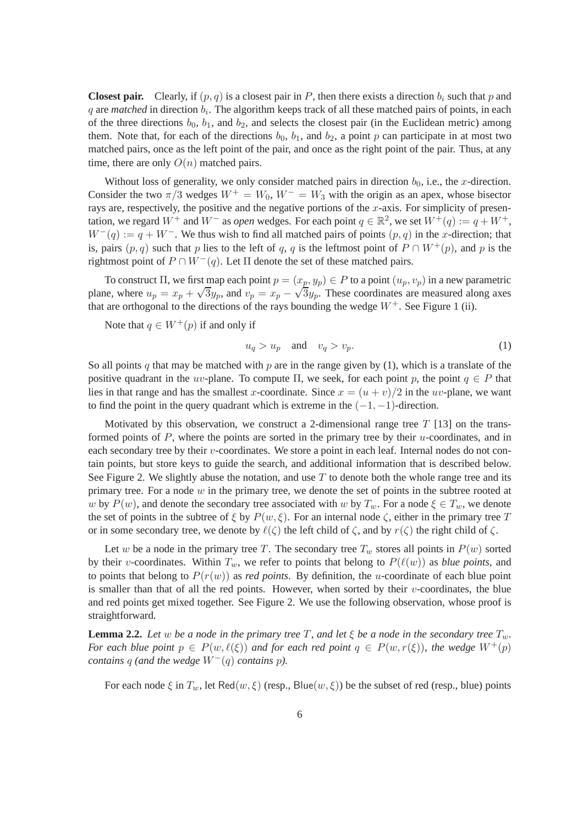**Closest pair.** Clearly, if  $(p, q)$  is a closest pair in P, then there exists a direction  $b_i$  such that p and  $q$  are *matched* in direction  $b_i$ . The algorithm keeps track of all these matched pairs of points, in each of the three directions  $b_0$ ,  $b_1$ , and  $b_2$ , and selects the closest pair (in the Euclidean metric) among them. Note that, for each of the directions  $b_0$ ,  $b_1$ , and  $b_2$ , a point p can participate in at most two matched pairs, once as the left point of the pair, and once as the right point of the pair. Thus, at any time, there are only  $O(n)$  matched pairs.

Without loss of generality, we only consider matched pairs in direction  $b_0$ , i.e., the x-direction. Consider the two  $\pi/3$  wedges  $W^+ = W_0$ ,  $W^- = W_3$  with the origin as an apex, whose bisector rays are, respectively, the positive and the negative portions of the  $x$ -axis. For simplicity of presentation, we regard  $W^+$  and  $W^-$  as *open* wedges. For each point  $q \in \mathbb{R}^2$ , we set  $W^+(q) := q + W^+$ ,  $W^-(q) := q + W^-$ . We thus wish to find all matched pairs of points  $(p, q)$  in the x-direction; that is, pairs  $(p, q)$  such that p lies to the left of q, q is the leftmost point of  $P \cap W^+(p)$ , and p is the rightmost point of  $P \cap W^-(q)$ . Let  $\Pi$  denote the set of these matched pairs.

To construct  $\Pi$ , we first map each point  $p = (x_p, y_p) \in P$  to a point  $(u_p, v_p)$  in a new parametric plane, where  $u_p = x_p + \sqrt{3}y_p$ , and  $v_p = x_p - \sqrt{3}y_p$ . These coordinates are measured along axes that are orthogonal to the directions of the rays bounding the wedge  $W^+$ . See Figure 1 (ii).

Note that  $q \in W^+(p)$  if and only if

$$
u_q > u_p \quad \text{and} \quad v_q > v_p. \tag{1}
$$

So all points q that may be matched with p are in the range given by (1), which is a translate of the positive quadrant in the uv-plane. To compute  $\Pi$ , we seek, for each point p, the point  $q \in P$  that lies in that range and has the smallest x-coordinate. Since  $x = (u + v)/2$  in the uv-plane, we want to find the point in the query quadrant which is extreme in the  $(-1, -1)$ -direction.

Motivated by this observation, we construct a 2-dimensional range tree  $T$  [13] on the transformed points of  $P$ , where the points are sorted in the primary tree by their  $u$ -coordinates, and in each secondary tree by their v-coordinates. We store a point in each leaf. Internal nodes do not contain points, but store keys to guide the search, and additional information that is described below. See Figure 2. We slightly abuse the notation, and use  $T$  to denote both the whole range tree and its primary tree. For a node  $w$  in the primary tree, we denote the set of points in the subtree rooted at w by  $P(w)$ , and denote the secondary tree associated with w by  $T_w$ . For a node  $\xi \in T_w$ , we denote the set of points in the subtree of  $\xi$  by  $P(w, \xi)$ . For an internal node  $\zeta$ , either in the primary tree T or in some secondary tree, we denote by  $\ell(\zeta)$  the left child of  $\zeta$ , and by  $r(\zeta)$  the right child of  $\zeta$ .

Let w be a node in the primary tree T. The secondary tree  $T_w$  stores all points in  $P(w)$  sorted by their v-coordinates. Within  $T_w$ , we refer to points that belong to  $P(\ell(w))$  as *blue points*, and to points that belong to  $P(r(w))$  as *red points*. By definition, the u-coordinate of each blue point is smaller than that of all the red points. However, when sorted by their  $v$ -coordinates, the blue and red points get mixed together. See Figure 2. We use the following observation, whose proof is straightforward.

**Lemma 2.2.** *Let* w *be a node in the primary tree* T, and let  $\xi$  *be a node in the secondary tree*  $T_w$ . *For each blue point*  $p \in P(w, \ell(\xi))$  *and for each red point*  $q \in P(w, r(\xi))$ *, the wedge*  $W^+(p)$ *contains* q (and the wedge  $W^-(q)$  *contains* p).

For each node  $\xi$  in  $T_w$ , let Red $(w, \xi)$  (resp., Blue $(w, \xi)$ ) be the subset of red (resp., blue) points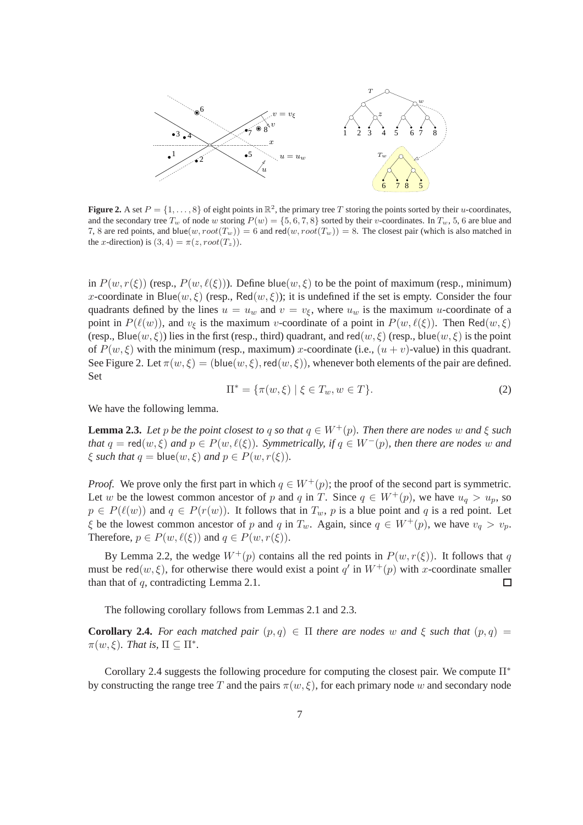

**Figure 2.** A set  $P = \{1, ..., 8\}$  of eight points in  $\mathbb{R}^2$ , the primary tree T storing the points sorted by their u-coordinates, and the secondary tree  $T_w$  of node w storing  $P(w) = \{5, 6, 7, 8\}$  sorted by their v-coordinates. In  $T_w$ , 5, 6 are blue and 7, 8 are red points, and blue $(w, root(T_w)) = 6$  and red $(w, root(T_w)) = 8$ . The closest pair (which is also matched in the x-direction) is  $(3, 4) = \pi(z, root(T_z)).$ 

in  $P(w, r(\xi))$  (resp.,  $P(w, \ell(\xi))$ ). Define blue $(w, \xi)$  to be the point of maximum (resp., minimum) x-coordinate in Blue(w,  $\xi$ ) (resp., Red(w,  $\xi$ )); it is undefined if the set is empty. Consider the four quadrants defined by the lines  $u = u_w$  and  $v = v_\xi$ , where  $u_w$  is the maximum u-coordinate of a point in  $P(\ell(w))$ , and  $v_{\xi}$  is the maximum v-coordinate of a point in  $P(w, \ell(\xi))$ . Then Red $(w, \xi)$ (resp., Blue(w,  $\xi$ )) lies in the first (resp., third) quadrant, and red(w,  $\xi$ ) (resp., blue(w,  $\xi$ ) is the point of  $P(w, \xi)$  with the minimum (resp., maximum) x-coordinate (i.e.,  $(u + v)$ -value) in this quadrant. See Figure 2. Let  $\pi(w, \xi) = (\text{blue}(w, \xi), \text{red}(w, \xi))$ , whenever both elements of the pair are defined. Set

$$
\Pi^* = \{ \pi(w, \xi) \mid \xi \in T_w, w \in T \}.
$$
 (2)

We have the following lemma.

**Lemma 2.3.** *Let* p *be the point closest to q so that*  $q \in W^+(p)$ *. Then there are nodes* w and  $\xi$  *such that*  $q = \text{red}(w, \xi)$  *and*  $p \in P(w, \ell(\xi))$ *. Symmetrically, if*  $q \in W^-(p)$ *, then there are nodes* w *and*  $\xi$  *such that*  $q =$  blue $(w, \xi)$  *and*  $p \in P(w, r(\xi))$ *.* 

*Proof.* We prove only the first part in which  $q \in W^+(p)$ ; the proof of the second part is symmetric. Let w be the lowest common ancestor of p and q in T. Since  $q \in W^+(p)$ , we have  $u_q > u_p$ , so  $p \in P(\ell(w))$  and  $q \in P(r(w))$ . It follows that in  $T_w$ , p is a blue point and q is a red point. Let  $\xi$  be the lowest common ancestor of p and q in  $T_w$ . Again, since  $q \in W^+(p)$ , we have  $v_q > v_p$ . Therefore,  $p \in P(w, \ell(\xi))$  and  $q \in P(w, r(\xi))$ .

By Lemma 2.2, the wedge  $W^+(p)$  contains all the red points in  $P(w, r(\xi))$ . It follows that q must be red $(w, \xi)$ , for otherwise there would exist a point q' in  $W^+(p)$  with x-coordinate smaller than that of  $q$ , contradicting Lemma 2.1. □

The following corollary follows from Lemmas 2.1 and 2.3.

**Corollary 2.4.** For each matched pair  $(p,q) \in \Pi$  there are nodes w and  $\xi$  such that  $(p,q)$  $\pi(w,\xi)$ *. That is*,  $\Pi \subseteq \Pi^*$ *.* 

Corollary 2.4 suggests the following procedure for computing the closest pair. We compute  $\Pi^*$ by constructing the range tree T and the pairs  $\pi(w, \xi)$ , for each primary node w and secondary node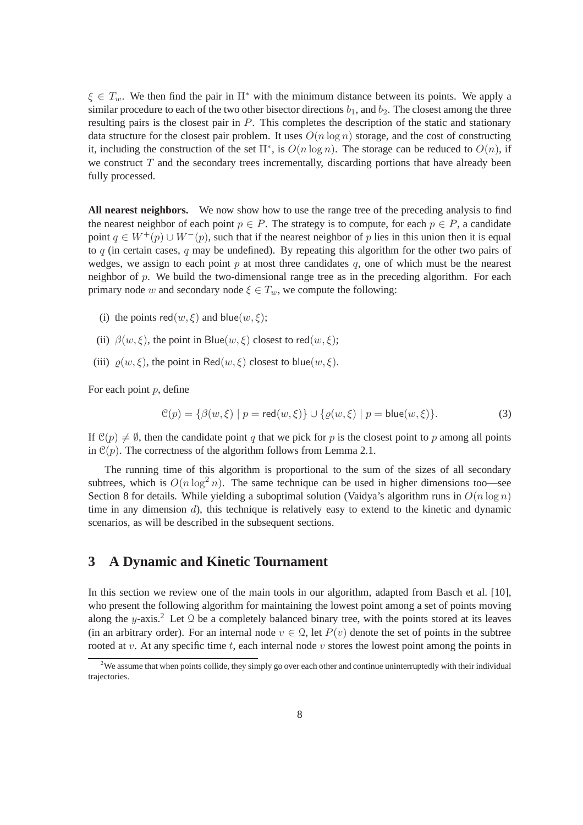$\xi \in T_w$ . We then find the pair in  $\Pi^*$  with the minimum distance between its points. We apply a similar procedure to each of the two other bisector directions  $b_1$ , and  $b_2$ . The closest among the three resulting pairs is the closest pair in P. This completes the description of the static and stationary data structure for the closest pair problem. It uses  $O(n \log n)$  storage, and the cost of constructing it, including the construction of the set  $\Pi^*$ , is  $O(n \log n)$ . The storage can be reduced to  $O(n)$ , if we construct  $T$  and the secondary trees incrementally, discarding portions that have already been fully processed.

**All nearest neighbors.** We now show how to use the range tree of the preceding analysis to find the nearest neighbor of each point  $p \in P$ . The strategy is to compute, for each  $p \in P$ , a candidate point  $q \in W^+(p) \cup W^-(p)$ , such that if the nearest neighbor of p lies in this union then it is equal to q (in certain cases, q may be undefined). By repeating this algorithm for the other two pairs of wedges, we assign to each point p at most three candidates q, one of which must be the nearest neighbor of  $p$ . We build the two-dimensional range tree as in the preceding algorithm. For each primary node w and secondary node  $\xi \in T_w$ , we compute the following:

- (i) the points  $red(w, \xi)$  and blue $(w, \xi)$ ;
- (ii)  $\beta(w,\xi)$ , the point in Blue(w,  $\xi$ ) closest to red(w,  $\xi$ );
- (iii)  $\rho(w, \xi)$ , the point in Red $(w, \xi)$  closest to blue $(w, \xi)$ .

For each point  $p$ , define

$$
\mathcal{C}(p) = \{ \beta(w, \xi) \mid p = \text{red}(w, \xi) \} \cup \{ \varrho(w, \xi) \mid p = \text{blue}(w, \xi) \}. \tag{3}
$$

If  $\mathcal{C}(p) \neq \emptyset$ , then the candidate point q that we pick for p is the closest point to p among all points in  $\mathcal{C}(p)$ . The correctness of the algorithm follows from Lemma 2.1.

The running time of this algorithm is proportional to the sum of the sizes of all secondary subtrees, which is  $O(n \log^2 n)$ . The same technique can be used in higher dimensions too—see Section 8 for details. While yielding a suboptimal solution (Vaidya's algorithm runs in  $O(n \log n)$ ) time in any dimension d), this technique is relatively easy to extend to the kinetic and dynamic scenarios, as will be described in the subsequent sections.

#### **3 A Dynamic and Kinetic Tournament**

In this section we review one of the main tools in our algorithm, adapted from Basch et al. [10], who present the following algorithm for maintaining the lowest point among a set of points moving along the y-axis.<sup>2</sup> Let  $\Omega$  be a completely balanced binary tree, with the points stored at its leaves (in an arbitrary order). For an internal node  $v \in \mathcal{Q}$ , let  $P(v)$  denote the set of points in the subtree rooted at v. At any specific time t, each internal node v stores the lowest point among the points in

 $2^2$ We assume that when points collide, they simply go over each other and continue uninterruptedly with their individual trajectories.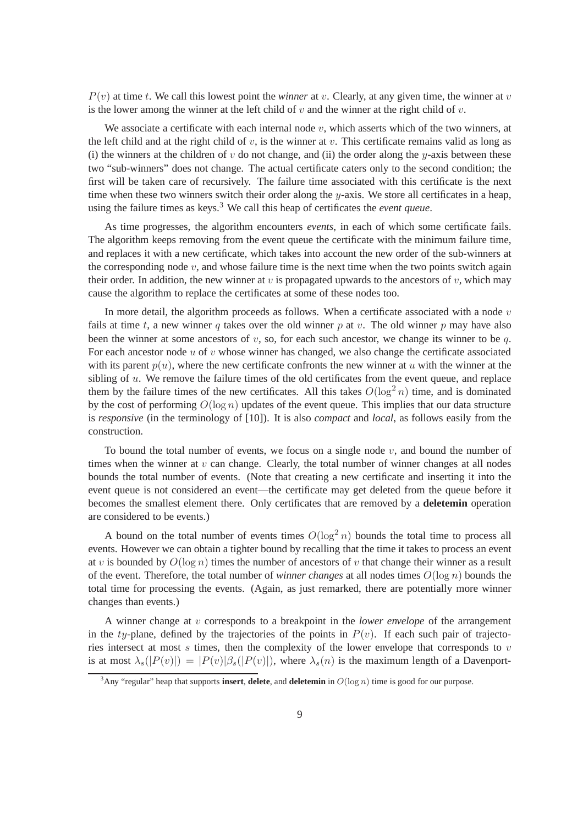$P(v)$  at time t. We call this lowest point the *winner* at v. Clearly, at any given time, the winner at v is the lower among the winner at the left child of  $v$  and the winner at the right child of  $v$ .

We associate a certificate with each internal node  $v$ , which asserts which of the two winners, at the left child and at the right child of v, is the winner at v. This certificate remains valid as long as (i) the winners at the children of  $v$  do not change, and (ii) the order along the  $y$ -axis between these two "sub-winners" does not change. The actual certificate caters only to the second condition; the first will be taken care of recursively. The failure time associated with this certificate is the next time when these two winners switch their order along the  $y$ -axis. We store all certificates in a heap, using the failure times as keys.<sup>3</sup> We call this heap of certificates the *event queue*.

As time progresses, the algorithm encounters *events*, in each of which some certificate fails. The algorithm keeps removing from the event queue the certificate with the minimum failure time, and replaces it with a new certificate, which takes into account the new order of the sub-winners at the corresponding node  $v$ , and whose failure time is the next time when the two points switch again their order. In addition, the new winner at v is propagated upwards to the ancestors of v, which may cause the algorithm to replace the certificates at some of these nodes too.

In more detail, the algorithm proceeds as follows. When a certificate associated with a node  $v$ fails at time t, a new winner q takes over the old winner p at v. The old winner p may have also been the winner at some ancestors of  $v$ , so, for each such ancestor, we change its winner to be  $q$ . For each ancestor node  $u$  of  $v$  whose winner has changed, we also change the certificate associated with its parent  $p(u)$ , where the new certificate confronts the new winner at u with the winner at the sibling of  $u$ . We remove the failure times of the old certificates from the event queue, and replace them by the failure times of the new certificates. All this takes  $O(\log^2 n)$  time, and is dominated by the cost of performing  $O(\log n)$  updates of the event queue. This implies that our data structure is *responsive* (in the terminology of [10]). It is also *compact* and *local*, as follows easily from the construction.

To bound the total number of events, we focus on a single node  $v$ , and bound the number of times when the winner at  $v$  can change. Clearly, the total number of winner changes at all nodes bounds the total number of events. (Note that creating a new certificate and inserting it into the event queue is not considered an event—the certificate may get deleted from the queue before it becomes the smallest element there. Only certificates that are removed by a **deletemin** operation are considered to be events.)

A bound on the total number of events times  $O(\log^2 n)$  bounds the total time to process all events. However we can obtain a tighter bound by recalling that the time it takes to process an event at v is bounded by  $O(\log n)$  times the number of ancestors of v that change their winner as a result of the event. Therefore, the total number of *winner changes* at all nodes times  $O(\log n)$  bounds the total time for processing the events. (Again, as just remarked, there are potentially more winner changes than events.)

A winner change at v corresponds to a breakpoint in the *lower envelope* of the arrangement in the ty-plane, defined by the trajectories of the points in  $P(v)$ . If each such pair of trajectories intersect at most  $s$  times, then the complexity of the lower envelope that corresponds to  $v$ is at most  $\lambda_s(|P(v)|) = |P(v)|\beta_s(|P(v)|)$ , where  $\lambda_s(n)$  is the maximum length of a Davenport-

 $3$ Any "regular" heap that supports **insert**, **delete**, and **deletemin** in  $O(\log n)$  time is good for our purpose.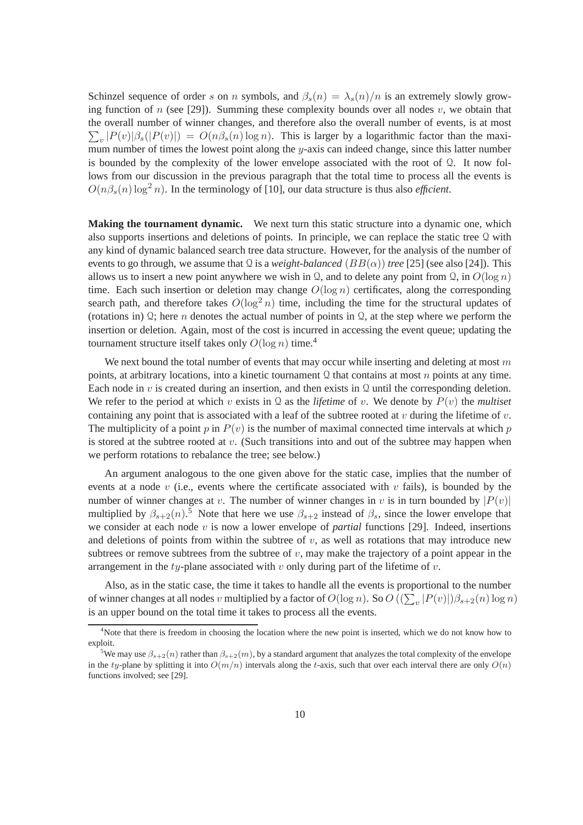Schinzel sequence of order s on n symbols, and  $\beta_s(n) = \lambda_s(n)/n$  is an extremely slowly growing function of n (see [29]). Summing these complexity bounds over all nodes  $v$ , we obtain that the overall number of winner changes, and therefore also the overall number of events, is at most  $\sum_{v} |P(v)|\beta_s(|P(v)|) = O(n\beta_s(n) \log n)$ . This is larger by a logarithmic factor than the maximum number of times the lowest point along the y-axis can indeed change, since this latter number is bounded by the complexity of the lower envelope associated with the root of  $\Omega$ . It now follows from our discussion in the previous paragraph that the total time to process all the events is  $O(n\beta_s(n) \log^2 n)$ . In the terminology of [10], our data structure is thus also *efficient*.

**Making the tournament dynamic.** We next turn this static structure into a dynamic one, which also supports insertions and deletions of points. In principle, we can replace the static tree Q with any kind of dynamic balanced search tree data structure. However, for the analysis of the number of events to go through, we assume that  $\Omega$  is a *weight-balanced* ( $BB(\alpha)$ ) *tree* [25] (see also [24]). This allows us to insert a new point anywhere we wish in Q, and to delete any point from Q, in  $O(\log n)$ time. Each such insertion or deletion may change  $O(\log n)$  certificates, along the corresponding search path, and therefore takes  $O(\log^2 n)$  time, including the time for the structural updates of (rotations in)  $\Omega$ ; here *n* denotes the actual number of points in  $\Omega$ , at the step where we perform the insertion or deletion. Again, most of the cost is incurred in accessing the event queue; updating the tournament structure itself takes only  $O(\log n)$  time.<sup>4</sup>

We next bound the total number of events that may occur while inserting and deleting at most  $m$ points, at arbitrary locations, into a kinetic tournament  $\Omega$  that contains at most n points at any time. Each node in  $v$  is created during an insertion, and then exists in Q until the corresponding deletion. We refer to the period at which v exists in  $\Omega$  as the *lifetime* of v. We denote by  $P(v)$  the *multiset* containing any point that is associated with a leaf of the subtree rooted at v during the lifetime of v. The multiplicity of a point p in  $P(v)$  is the number of maximal connected time intervals at which p is stored at the subtree rooted at  $v$ . (Such transitions into and out of the subtree may happen when we perform rotations to rebalance the tree; see below.)

An argument analogous to the one given above for the static case, implies that the number of events at a node  $v$  (i.e., events where the certificate associated with  $v$  fails), is bounded by the number of winner changes at v. The number of winner changes in v is in turn bounded by  $|P(v)|$ multiplied by  $\beta_{s+2}(n)$ .<sup>5</sup> Note that here we use  $\beta_{s+2}$  instead of  $\beta_s$ , since the lower envelope that we consider at each node v is now a lower envelope of *partial* functions [29]. Indeed, insertions and deletions of points from within the subtree of  $v$ , as well as rotations that may introduce new subtrees or remove subtrees from the subtree of  $v$ , may make the trajectory of a point appear in the arrangement in the  $ty$ -plane associated with v only during part of the lifetime of v.

Also, as in the static case, the time it takes to handle all the events is proportional to the number of winner changes at all nodes  $v$  multiplied by a factor of  $O(\log n)$ . So  $O((\sum_{v} |P(v)|)\beta_{s+2}(n) \log n)$ is an upper bound on the total time it takes to process all the events.

<sup>&</sup>lt;sup>4</sup>Note that there is freedom in choosing the location where the new point is inserted, which we do not know how to exploit.

<sup>&</sup>lt;sup>5</sup>We may use  $\beta_{s+2}(n)$  rather than  $\beta_{s+2}(m)$ , by a standard argument that analyzes the total complexity of the envelope in the ty-plane by splitting it into  $O(m/n)$  intervals along the t-axis, such that over each interval there are only  $O(n)$ functions involved; see [29].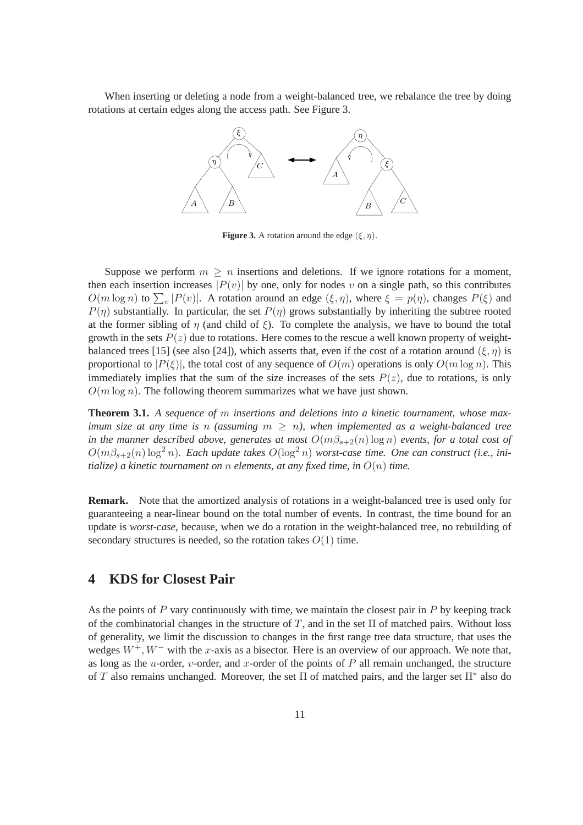When inserting or deleting a node from a weight-balanced tree, we rebalance the tree by doing rotations at certain edges along the access path. See Figure 3.



**Figure 3.** A rotation around the edge  $(\xi, \eta)$ .

Suppose we perform  $m \geq n$  insertions and deletions. If we ignore rotations for a moment, then each insertion increases  $|P(v)|$  by one, only for nodes v on a single path, so this contributes  $O(m \log n)$  to  $\sum_{v} |P(v)|$ . A rotation around an edge  $(\xi, \eta)$ , where  $\xi = p(\eta)$ , changes  $P(\xi)$  and  $P(\eta)$  substantially. In particular, the set  $P(\eta)$  grows substantially by inheriting the subtree rooted at the former sibling of  $\eta$  (and child of  $\xi$ ). To complete the analysis, we have to bound the total growth in the sets  $P(z)$  due to rotations. Here comes to the rescue a well known property of weightbalanced trees [15] (see also [24]), which asserts that, even if the cost of a rotation around  $(\xi, \eta)$  is proportional to  $|P(\xi)|$ , the total cost of any sequence of  $O(m)$  operations is only  $O(m \log n)$ . This immediately implies that the sum of the size increases of the sets  $P(z)$ , due to rotations, is only  $O(m \log n)$ . The following theorem summarizes what we have just shown.

**Theorem 3.1.** *A sequence of* m *insertions and deletions into a kinetic tournament, whose maximum size at any time is* n *(assuming*  $m \geq n$ ), when *implemented as a weight-balanced tree in the manner described above, generates at most*  $O(m\beta_{s+2}(n) \log n)$  *events, for a total cost of*  $O(m\beta_{s+2}(n) \log^2 n)$ . Each update takes  $O(\log^2 n)$  worst-case time. One can construct (i.e., ini*tialize) a kinetic tournament on* n *elements, at any fixed time, in* O(n) *time.*

**Remark.** Note that the amortized analysis of rotations in a weight-balanced tree is used only for guaranteeing a near-linear bound on the total number of events. In contrast, the time bound for an update is *worst-case*, because, when we do a rotation in the weight-balanced tree, no rebuilding of secondary structures is needed, so the rotation takes  $O(1)$  time.

# **4 KDS for Closest Pair**

As the points of  $P$  vary continuously with time, we maintain the closest pair in  $P$  by keeping track of the combinatorial changes in the structure of T, and in the set  $\Pi$  of matched pairs. Without loss of generality, we limit the discussion to changes in the first range tree data structure, that uses the wedges  $W^+, W^-$  with the x-axis as a bisector. Here is an overview of our approach. We note that, as long as the  $u$ -order,  $v$ -order, and  $x$ -order of the points of  $P$  all remain unchanged, the structure of T also remains unchanged. Moreover, the set  $\Pi$  of matched pairs, and the larger set  $\Pi^*$  also do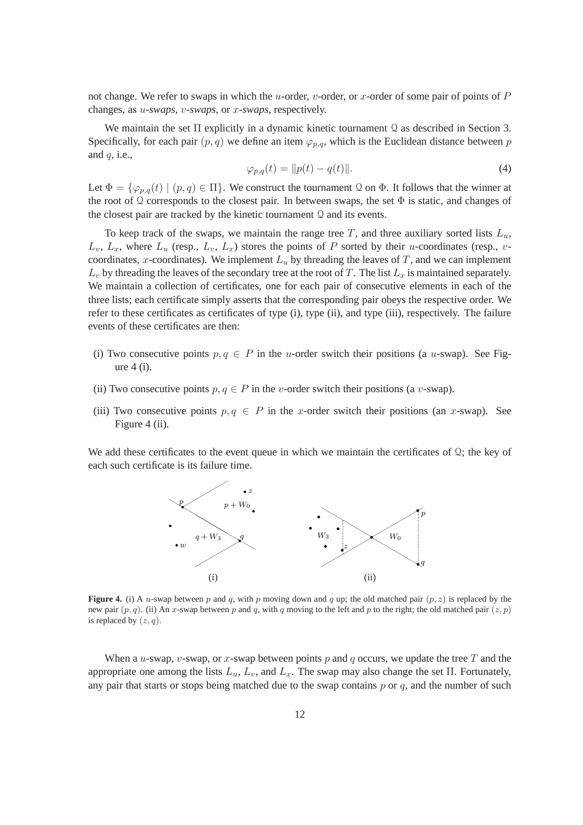not change. We refer to swaps in which the u-order, v-order, or x-order of some pair of points of  $P$ changes, as u*-swaps*, v*-swaps*, or x*-swaps*, respectively.

We maintain the set  $\Pi$  explicitly in a dynamic kinetic tournament Q as described in Section 3. Specifically, for each pair  $(p, q)$  we define an item  $\varphi_{p,q}$ , which is the Euclidean distance between p and  $q$ , i.e.,

$$
\varphi_{p,q}(t) = \|p(t) - q(t)\|.
$$
 (4)

Let  $\Phi = {\varphi_{p,q}(t) \mid (p,q) \in \Pi}$ . We construct the tournament  $\Omega$  on  $\Phi$ . It follows that the winner at the root of Q corresponds to the closest pair. In between swaps, the set  $\Phi$  is static, and changes of the closest pair are tracked by the kinetic tournament  $\Omega$  and its events.

To keep track of the swaps, we maintain the range tree T, and three auxiliary sorted lists  $L_u$ ,  $L_v$ ,  $L_x$ , where  $L_u$  (resp.,  $L_v$ ,  $L_x$ ) stores the points of P sorted by their u-coordinates (resp., vcoordinates, x-coordinates). We implement  $L<sub>u</sub>$  by threading the leaves of T, and we can implement  $L_v$  by threading the leaves of the secondary tree at the root of T. The list  $L_x$  is maintained separately. We maintain a collection of certificates, one for each pair of consecutive elements in each of the three lists; each certificate simply asserts that the corresponding pair obeys the respective order. We refer to these certificates as certificates of type (i), type (ii), and type (iii), respectively. The failure events of these certificates are then:

- (i) Two consecutive points  $p, q \in P$  in the u-order switch their positions (a u-swap). See Figure 4 (i).
- (ii) Two consecutive points  $p, q \in P$  in the v-order switch their positions (a v-swap).
- (iii) Two consecutive points  $p, q \in P$  in the x-order switch their positions (an x-swap). See Figure 4 (ii).

We add these certificates to the event queue in which we maintain the certificates of  $\Omega$ ; the key of each such certificate is its failure time.



**Figure 4.** (i) A u-swap between p and q, with p moving down and q up; the old matched pair  $(p, z)$  is replaced by the new pair  $(p, q)$ . (ii) An x-swap between p and q, with q moving to the left and p to the right; the old matched pair  $(z, p)$ is replaced by  $(z, q)$ .

When a *u*-swap, *v*-swap, or *x*-swap between points p and q occurs, we update the tree T and the appropriate one among the lists  $L_u$ ,  $L_v$ , and  $L_x$ . The swap may also change the set  $\Pi$ . Fortunately, any pair that starts or stops being matched due to the swap contains  $p$  or  $q$ , and the number of such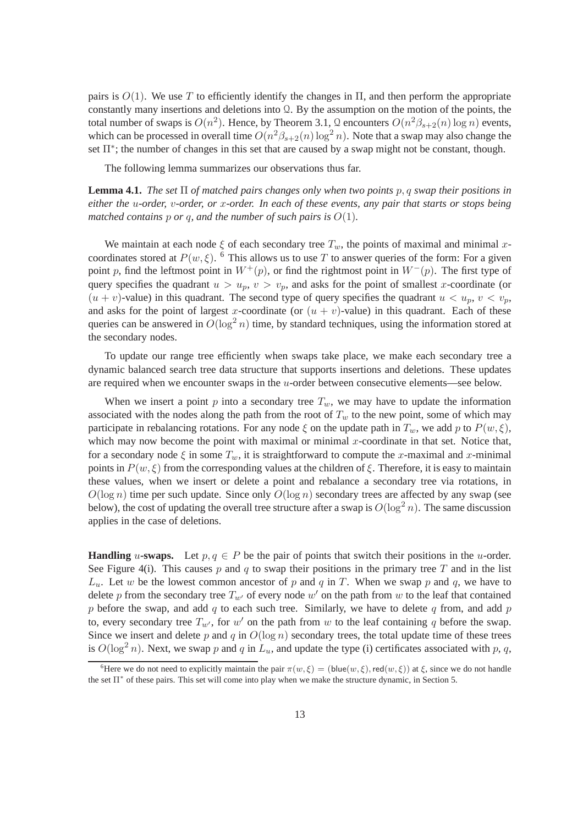pairs is  $O(1)$ . We use T to efficiently identify the changes in  $\Pi$ , and then perform the appropriate constantly many insertions and deletions into Q. By the assumption on the motion of the points, the total number of swaps is  $O(n^2)$ . Hence, by Theorem 3.1, Q encounters  $O(n^2\beta_{s+2}(n) \log n)$  events, which can be processed in overall time  $O(n^2\beta_{s+2}(n)\log^2 n)$ . Note that a swap may also change the set Π<sup>\*</sup>; the number of changes in this set that are caused by a swap might not be constant, though.

The following lemma summarizes our observations thus far.

**Lemma 4.1.** *The set*  $\Pi$  *of matched pairs changes only when two points* p, q *swap their positions in either the* u*-order,* v*-order, or* x*-order. In each of these events, any pair that starts or stops being matched contains* p *or* q, and the number of such pairs is  $O(1)$ .

We maintain at each node  $\xi$  of each secondary tree  $T_w$ , the points of maximal and minimal xcoordinates stored at  $P(w, \xi)$ . <sup>6</sup> This allows us to use T to answer queries of the form: For a given point p, find the leftmost point in  $W^+(p)$ , or find the rightmost point in  $W^-(p)$ . The first type of query specifies the quadrant  $u > u_p$ ,  $v > v_p$ , and asks for the point of smallest x-coordinate (or  $(u + v)$ -value) in this quadrant. The second type of query specifies the quadrant  $u < u_p$ ,  $v < v_p$ , and asks for the point of largest x-coordinate (or  $(u + v)$ -value) in this quadrant. Each of these queries can be answered in  $O(\log^2 n)$  time, by standard techniques, using the information stored at the secondary nodes.

To update our range tree efficiently when swaps take place, we make each secondary tree a dynamic balanced search tree data structure that supports insertions and deletions. These updates are required when we encounter swaps in the u-order between consecutive elements—see below.

When we insert a point  $p$  into a secondary tree  $T_w$ , we may have to update the information associated with the nodes along the path from the root of  $T_w$  to the new point, some of which may participate in rebalancing rotations. For any node  $\xi$  on the update path in  $T_w$ , we add p to  $P(w, \xi)$ , which may now become the point with maximal or minimal  $x$ -coordinate in that set. Notice that, for a secondary node  $\xi$  in some  $T_w$ , it is straightforward to compute the x-maximal and x-minimal points in  $P(w, \xi)$  from the corresponding values at the children of  $\xi$ . Therefore, it is easy to maintain these values, when we insert or delete a point and rebalance a secondary tree via rotations, in  $O(\log n)$  time per such update. Since only  $O(\log n)$  secondary trees are affected by any swap (see below), the cost of updating the overall tree structure after a swap is  $O(\log^2 n)$ . The same discussion applies in the case of deletions.

**Handling** u-swaps. Let  $p, q \in P$  be the pair of points that switch their positions in the u-order. See Figure 4(i). This causes p and q to swap their positions in the primary tree T and in the list  $L_u$ . Let w be the lowest common ancestor of p and q in T. When we swap p and q, we have to delete p from the secondary tree  $T_{w'}$  of every node  $w'$  on the path from w to the leaf that contained p before the swap, and add q to each such tree. Similarly, we have to delete q from, and add p to, every secondary tree  $T_{w'}$ , for w' on the path from w to the leaf containing q before the swap. Since we insert and delete p and q in  $O(\log n)$  secondary trees, the total update time of these trees is  $O(\log^2 n)$ . Next, we swap p and q in  $L_u$ , and update the type (i) certificates associated with p, q,

<sup>&</sup>lt;sup>6</sup>Here we do not need to explicitly maintain the pair  $\pi(w,\xi) = (\text{blue}(w,\xi), \text{red}(w,\xi))$  at  $\xi$ , since we do not handle the set  $\Pi^*$  of these pairs. This set will come into play when we make the structure dynamic, in Section 5.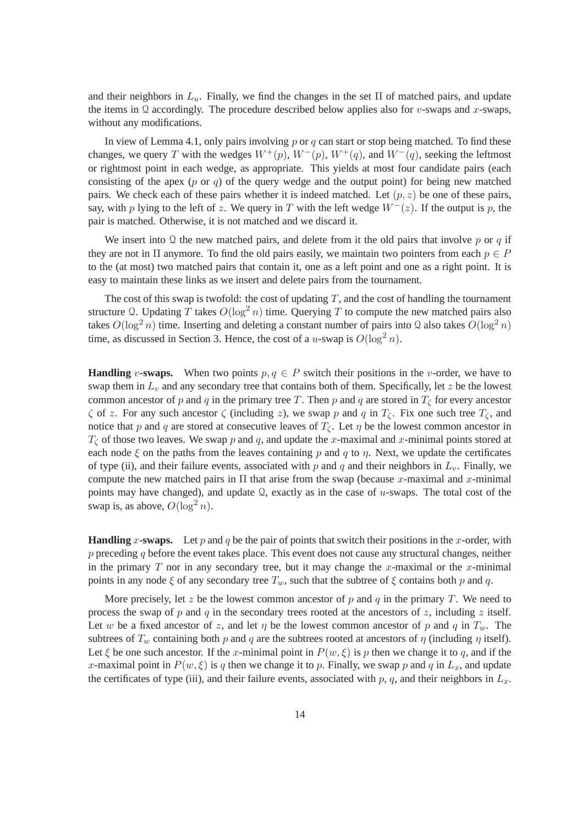and their neighbors in  $L_u$ . Finally, we find the changes in the set  $\Pi$  of matched pairs, and update the items in Q accordingly. The procedure described below applies also for v-swaps and x-swaps, without any modifications.

In view of Lemma 4.1, only pairs involving  $p$  or  $q$  can start or stop being matched. To find these changes, we query T with the wedges  $W^+(p)$ ,  $W^-(p)$ ,  $W^+(q)$ , and  $W^-(q)$ , seeking the leftmost or rightmost point in each wedge, as appropriate. This yields at most four candidate pairs (each consisting of the apex (p or q) of the query wedge and the output point) for being new matched pairs. We check each of these pairs whether it is indeed matched. Let  $(p, z)$  be one of these pairs, say, with p lying to the left of z. We query in T with the left wedge  $W^-(z)$ . If the output is p, the pair is matched. Otherwise, it is not matched and we discard it.

We insert into Q the new matched pairs, and delete from it the old pairs that involve  $p$  or  $q$  if they are not in  $\Pi$  anymore. To find the old pairs easily, we maintain two pointers from each  $p \in P$ to the (at most) two matched pairs that contain it, one as a left point and one as a right point. It is easy to maintain these links as we insert and delete pairs from the tournament.

The cost of this swap is twofold: the cost of updating  $T$ , and the cost of handling the tournament structure Q. Updating T takes  $O(\log^2 n)$  time. Querying T to compute the new matched pairs also takes  $O(\log^2 n)$  time. Inserting and deleting a constant number of pairs into Q also takes  $O(\log^2 n)$ time, as discussed in Section 3. Hence, the cost of a u-swap is  $O(\log^2 n)$ .

**Handling** v-swaps. When two points  $p, q \in P$  switch their positions in the v-order, we have to swap them in  $L<sub>v</sub>$  and any secondary tree that contains both of them. Specifically, let z be the lowest common ancestor of p and q in the primary tree T. Then p and q are stored in  $T_{\zeta}$  for every ancestor  $\zeta$  of z. For any such ancestor  $\zeta$  (including z), we swap p and q in  $T_{\zeta}$ . Fix one such tree  $T_{\zeta}$ , and notice that p and q are stored at consecutive leaves of  $T_c$ . Let  $\eta$  be the lowest common ancestor in  $T_{\zeta}$  of those two leaves. We swap p and q, and update the x-maximal and x-minimal points stored at each node  $\xi$  on the paths from the leaves containing p and q to  $\eta$ . Next, we update the certificates of type (ii), and their failure events, associated with p and q and their neighbors in  $L<sub>v</sub>$ . Finally, we compute the new matched pairs in  $\Pi$  that arise from the swap (because x-maximal and x-minimal points may have changed), and update  $\Omega$ , exactly as in the case of u-swaps. The total cost of the swap is, as above,  $O(\log^2 n)$ .

**Handling** x-swaps. Let p and q be the pair of points that switch their positions in the x-order, with  $p$  preceding  $q$  before the event takes place. This event does not cause any structural changes, neither in the primary  $T$  nor in any secondary tree, but it may change the  $x$ -maximal or the  $x$ -minimal points in any node  $\xi$  of any secondary tree  $T_w$ , such that the subtree of  $\xi$  contains both p and q.

More precisely, let z be the lowest common ancestor of p and q in the primary T. We need to process the swap of p and q in the secondary trees rooted at the ancestors of z, including z itself. Let w be a fixed ancestor of z, and let  $\eta$  be the lowest common ancestor of p and q in  $T_w$ . The subtrees of  $T_w$  containing both p and q are the subtrees rooted at ancestors of  $\eta$  (including  $\eta$  itself). Let  $\xi$  be one such ancestor. If the x-minimal point in  $P(w, \xi)$  is p then we change it to q, and if the x-maximal point in  $P(w, \xi)$  is q then we change it to p. Finally, we swap p and q in  $L_x$ , and update the certificates of type (iii), and their failure events, associated with  $p$ ,  $q$ , and their neighbors in  $L<sub>x</sub>$ .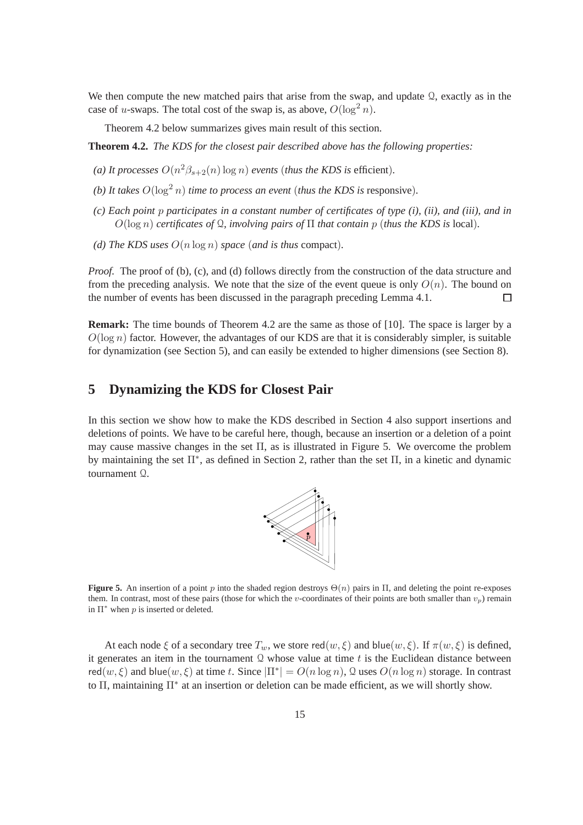We then compute the new matched pairs that arise from the swap, and update  $\Omega$ , exactly as in the case of u-swaps. The total cost of the swap is, as above,  $O(\log^2 n)$ .

Theorem 4.2 below summarizes gives main result of this section.

**Theorem 4.2.** *The KDS for the closest pair described above has the following properties:*

- (*a*) It processes  $O(n^2\beta_{s+2}(n) \log n)$  events (thus the KDS is efficient).
- *(b) It takes*  $O(\log^2 n)$  *time to process an event (thus the KDS is responsive).*
- *(c) Each point* p *participates in a constant number of certificates of type (i), (ii), and (iii), and in* O(log n) *certificates of* Q*, involving pairs of* Π *that contain* p (*thus the KDS is* local)*.*
- *(d)* The KDS uses  $O(n \log n)$  *space* (*and is thus* compact).

*Proof.* The proof of (b), (c), and (d) follows directly from the construction of the data structure and from the preceding analysis. We note that the size of the event queue is only  $O(n)$ . The bound on the number of events has been discussed in the paragraph preceding Lemma 4.1. П

**Remark:** The time bounds of Theorem 4.2 are the same as those of [10]. The space is larger by a  $O(\log n)$  factor. However, the advantages of our KDS are that it is considerably simpler, is suitable for dynamization (see Section 5), and can easily be extended to higher dimensions (see Section 8).

#### **5 Dynamizing the KDS for Closest Pair**

In this section we show how to make the KDS described in Section 4 also support insertions and deletions of points. We have to be careful here, though, because an insertion or a deletion of a point may cause massive changes in the set  $\Pi$ , as is illustrated in Figure 5. We overcome the problem by maintaining the set Π<sup>∗</sup> , as defined in Section 2, rather than the set Π, in a kinetic and dynamic tournament Q.



**Figure 5.** An insertion of a point p into the shaded region destroys  $\Theta(n)$  pairs in  $\Pi$ , and deleting the point re-exposes them. In contrast, most of these pairs (those for which the v-coordinates of their points are both smaller than  $v_p$ ) remain in  $\Pi^*$  when p is inserted or deleted.

At each node  $\xi$  of a secondary tree  $T_w$ , we store red $(w, \xi)$  and blue $(w, \xi)$ . If  $\pi(w, \xi)$  is defined, it generates an item in the tournament  $\Omega$  whose value at time t is the Euclidean distance between red $(w, \xi)$  and blue $(w, \xi)$  at time t. Since  $|\Pi^*| = O(n \log n)$ , Q uses  $O(n \log n)$  storage. In contrast to Π, maintaining Π<sup>\*</sup> at an insertion or deletion can be made efficient, as we will shortly show.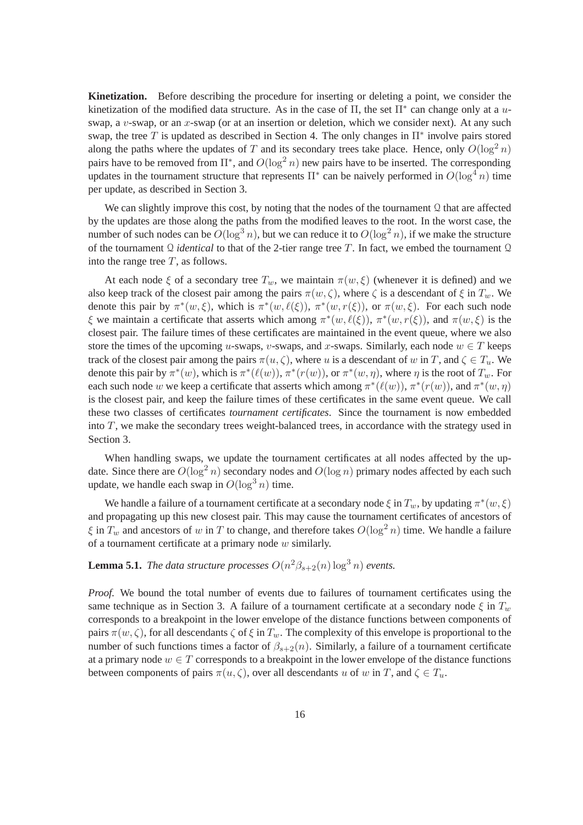**Kinetization.** Before describing the procedure for inserting or deleting a point, we consider the kinetization of the modified data structure. As in the case of  $\Pi$ , the set  $\Pi^*$  can change only at a uswap, a  $v$ -swap, or an  $x$ -swap (or at an insertion or deletion, which we consider next). At any such swap, the tree T is updated as described in Section 4. The only changes in  $\Pi^*$  involve pairs stored along the paths where the updates of T and its secondary trees take place. Hence, only  $O(\log^2 n)$ pairs have to be removed from  $\Pi^*$ , and  $O(\log^2 n)$  new pairs have to be inserted. The corresponding updates in the tournament structure that represents  $\Pi^*$  can be naively performed in  $O(\log^4 n)$  time per update, as described in Section 3.

We can slightly improve this cost, by noting that the nodes of the tournament Q that are affected by the updates are those along the paths from the modified leaves to the root. In the worst case, the number of such nodes can be  $O(\log^3 n)$ , but we can reduce it to  $O(\log^2 n)$ , if we make the structure of the tournament Q *identical* to that of the 2-tier range tree T. In fact, we embed the tournament Q into the range tree  $T$ , as follows.

At each node  $\xi$  of a secondary tree  $T_w$ , we maintain  $\pi(w, \xi)$  (whenever it is defined) and we also keep track of the closest pair among the pairs  $\pi(w, \zeta)$ , where  $\zeta$  is a descendant of  $\xi$  in  $T_w$ . We denote this pair by  $\pi^*(w,\xi)$ , which is  $\pi^*(w,\ell(\xi))$ ,  $\pi^*(w,r(\xi))$ , or  $\pi(w,\xi)$ . For each such node ξ we maintain a certificate that asserts which among  $\pi^*(w, \ell(\xi))$ ,  $\pi^*(w, r(\xi))$ , and  $\pi(w, \xi)$  is the closest pair. The failure times of these certificates are maintained in the event queue, where we also store the times of the upcoming u-swaps, v-swaps, and x-swaps. Similarly, each node  $w \in T$  keeps track of the closest pair among the pairs  $\pi(u, \zeta)$ , where u is a descendant of w in T, and  $\zeta \in T_u$ . We denote this pair by  $\pi^*(w)$ , which is  $\pi^*(\ell(w))$ ,  $\pi^*(r(w))$ , or  $\pi^*(w, \eta)$ , where  $\eta$  is the root of  $T_w$ . For each such node w we keep a certificate that asserts which among  $\pi^*(\ell(w))$ ,  $\pi^*(r(w))$ , and  $\pi^*(w, \eta)$ is the closest pair, and keep the failure times of these certificates in the same event queue. We call these two classes of certificates *tournament certificates*. Since the tournament is now embedded into  $T$ , we make the secondary trees weight-balanced trees, in accordance with the strategy used in Section 3.

When handling swaps, we update the tournament certificates at all nodes affected by the update. Since there are  $O(\log^2 n)$  secondary nodes and  $O(\log n)$  primary nodes affected by each such update, we handle each swap in  $O(\log^3 n)$  time.

We handle a failure of a tournament certificate at a secondary node  $\xi$  in  $T_w$ , by updating  $\pi^*(w, \xi)$ and propagating up this new closest pair. This may cause the tournament certificates of ancestors of  $\xi$  in  $T_w$  and ancestors of w in T to change, and therefore takes  $O(\log^2 n)$  time. We handle a failure of a tournament certificate at a primary node  $w$  similarly.

## **Lemma 5.1.** *The data structure processes*  $O(n^2\beta_{s+2}(n) \log^3 n)$  *events.*

*Proof.* We bound the total number of events due to failures of tournament certificates using the same technique as in Section 3. A failure of a tournament certificate at a secondary node  $\xi$  in  $T_w$ corresponds to a breakpoint in the lower envelope of the distance functions between components of pairs  $\pi(w, \zeta)$ , for all descendants  $\zeta$  of  $\xi$  in  $T_w$ . The complexity of this envelope is proportional to the number of such functions times a factor of  $\beta_{s+2}(n)$ . Similarly, a failure of a tournament certificate at a primary node  $w \in T$  corresponds to a breakpoint in the lower envelope of the distance functions between components of pairs  $\pi(u, \zeta)$ , over all descendants u of w in T, and  $\zeta \in T_u$ .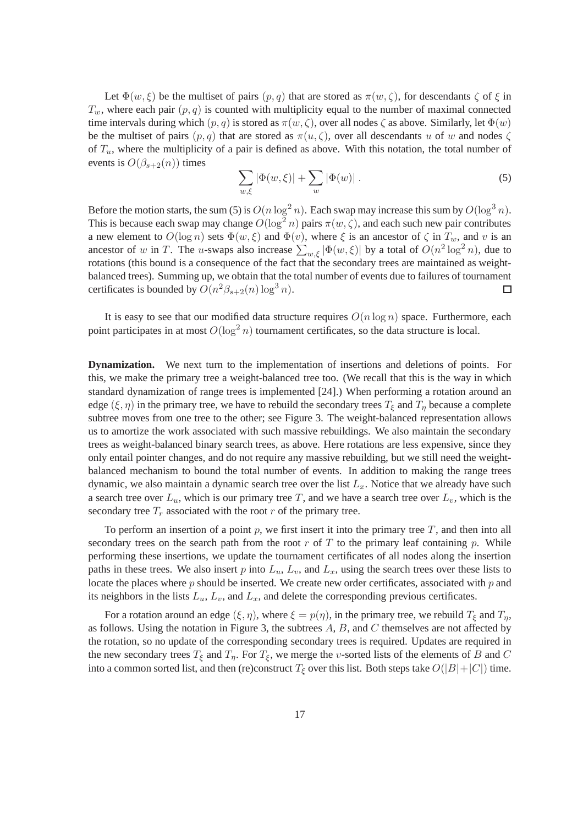Let  $\Phi(w, \xi)$  be the multiset of pairs  $(p, q)$  that are stored as  $\pi(w, \zeta)$ , for descendants  $\zeta$  of  $\xi$  in  $T_w$ , where each pair  $(p, q)$  is counted with multiplicity equal to the number of maximal connected time intervals during which  $(p, q)$  is stored as  $\pi(w, \zeta)$ , over all nodes  $\zeta$  as above. Similarly, let  $\Phi(w)$ be the multiset of pairs  $(p, q)$  that are stored as  $\pi(u, \zeta)$ , over all descendants u of w and nodes  $\zeta$ of  $T_u$ , where the multiplicity of a pair is defined as above. With this notation, the total number of events is  $O(\beta_{s+2}(n))$  times

$$
\sum_{w,\xi} |\Phi(w,\xi)| + \sum_{w} |\Phi(w)| . \tag{5}
$$

Before the motion starts, the sum (5) is  $O(n \log^2 n)$ . Each swap may increase this sum by  $O(\log^3 n)$ . This is because each swap may change  $O(\log^2 n)$  pairs  $\pi(w, \zeta)$ , and each such new pair contributes a new element to  $O(\log n)$  sets  $\Phi(w,\xi)$  and  $\Phi(v)$ , where  $\xi$  is an ancestor of  $\zeta$  in  $T_w$ , and v is an ancestor of w in T. The u-swaps also increase  $\sum_{w,\xi} |\Phi(w,\xi)|$  by a total of  $O(n^2 \log^2 n)$ , due to rotations (this bound is a consequence of the fact that the secondary trees are maintained as weightbalanced trees). Summing up, we obtain that the total number of events due to failures of tournament certificates is bounded by  $O(n^2\beta_{s+2}(n)\log^3 n)$ .  $\Box$ 

It is easy to see that our modified data structure requires  $O(n \log n)$  space. Furthermore, each point participates in at most  $O(\log^2 n)$  tournament certificates, so the data structure is local.

**Dynamization.** We next turn to the implementation of insertions and deletions of points. For this, we make the primary tree a weight-balanced tree too. (We recall that this is the way in which standard dynamization of range trees is implemented [24].) When performing a rotation around an edge ( $\xi, \eta$ ) in the primary tree, we have to rebuild the secondary trees  $T_{\xi}$  and  $T_{\eta}$  because a complete subtree moves from one tree to the other; see Figure 3. The weight-balanced representation allows us to amortize the work associated with such massive rebuildings. We also maintain the secondary trees as weight-balanced binary search trees, as above. Here rotations are less expensive, since they only entail pointer changes, and do not require any massive rebuilding, but we still need the weightbalanced mechanism to bound the total number of events. In addition to making the range trees dynamic, we also maintain a dynamic search tree over the list  $L<sub>x</sub>$ . Notice that we already have such a search tree over  $L_u$ , which is our primary tree T, and we have a search tree over  $L_v$ , which is the secondary tree  $T_r$  associated with the root r of the primary tree.

To perform an insertion of a point  $p$ , we first insert it into the primary tree  $T$ , and then into all secondary trees on the search path from the root r of T to the primary leaf containing p. While performing these insertions, we update the tournament certificates of all nodes along the insertion paths in these trees. We also insert p into  $L<sub>u</sub>$ ,  $L<sub>v</sub>$ , and  $L<sub>x</sub>$ , using the search trees over these lists to locate the places where  $p$  should be inserted. We create new order certificates, associated with  $p$  and its neighbors in the lists  $L_u$ ,  $L_v$ , and  $L_x$ , and delete the corresponding previous certificates.

For a rotation around an edge  $(\xi, \eta)$ , where  $\xi = p(\eta)$ , in the primary tree, we rebuild  $T_{\xi}$  and  $T_{\eta}$ , as follows. Using the notation in Figure 3, the subtrees  $A$ ,  $B$ , and  $C$  themselves are not affected by the rotation, so no update of the corresponding secondary trees is required. Updates are required in the new secondary trees  $T_{\xi}$  and  $T_{\eta}$ . For  $T_{\xi}$ , we merge the *v*-sorted lists of the elements of B and C into a common sorted list, and then (re)construct  $T_{\xi}$  over this list. Both steps take  $O(|B|+|C|)$  time.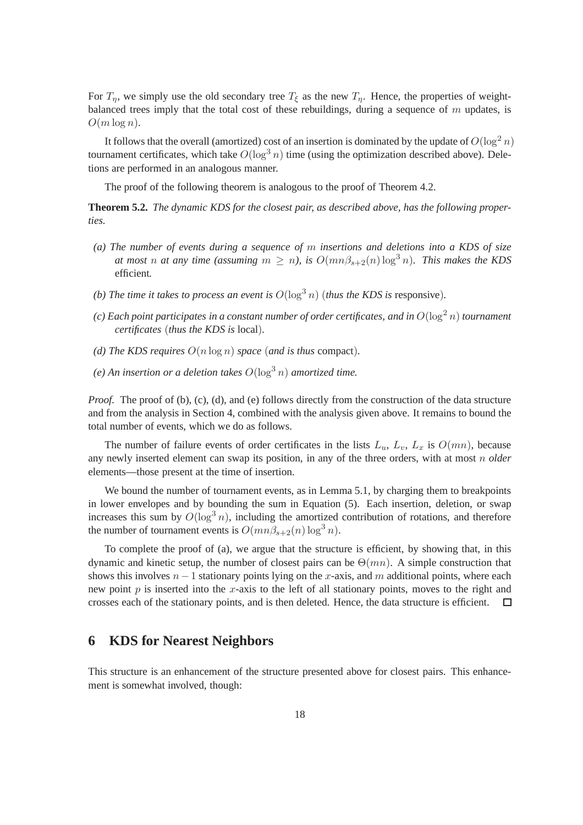For  $T_n$ , we simply use the old secondary tree  $T_\xi$  as the new  $T_n$ . Hence, the properties of weightbalanced trees imply that the total cost of these rebuildings, during a sequence of  $m$  updates, is  $O(m \log n)$ .

It follows that the overall (amortized) cost of an insertion is dominated by the update of  $O(\log^2 n)$ tournament certificates, which take  $O(\log^3 n)$  time (using the optimization described above). Deletions are performed in an analogous manner.

The proof of the following theorem is analogous to the proof of Theorem 4.2.

**Theorem 5.2.** *The dynamic KDS for the closest pair, as described above, has the following properties.*

- *(a) The number of events during a sequence of* m *insertions and deletions into a KDS of size at most n at any time (assuming*  $m \ge n$ ), is  $O(mn\beta_{s+2}(n) \log^3 n)$ . This makes the KDS efficient*.*
- *(b)* The time it takes to process an event is  $O(\log^3 n)$  (thus the KDS is responsive).
- *(c) Each point participates in a constant number of order certificates, and in*  $O(\log^2 n)$  *tournament certificates* (*thus the KDS is* local)*.*
- *(d)* The KDS requires  $O(n \log n)$  *space* (*and is thus* compact).
- (e) An insertion or a deletion takes  $O(\log^3 n)$  amortized time.

*Proof.* The proof of (b), (c), (d), and (e) follows directly from the construction of the data structure and from the analysis in Section 4, combined with the analysis given above. It remains to bound the total number of events, which we do as follows.

The number of failure events of order certificates in the lists  $L_u$ ,  $L_v$ ,  $L_x$  is  $O(mn)$ , because any newly inserted element can swap its position, in any of the three orders, with at most n *older* elements—those present at the time of insertion.

We bound the number of tournament events, as in Lemma 5.1, by charging them to breakpoints in lower envelopes and by bounding the sum in Equation (5). Each insertion, deletion, or swap increases this sum by  $O(\log^3 n)$ , including the amortized contribution of rotations, and therefore the number of tournament events is  $O(mn\beta_{s+2}(n) \log^3 n)$ .

To complete the proof of (a), we argue that the structure is efficient, by showing that, in this dynamic and kinetic setup, the number of closest pairs can be  $\Theta(mn)$ . A simple construction that shows this involves  $n - 1$  stationary points lying on the x-axis, and m additional points, where each new point  $p$  is inserted into the  $x$ -axis to the left of all stationary points, moves to the right and crosses each of the stationary points, and is then deleted. Hence, the data structure is efficient. □

### **6 KDS for Nearest Neighbors**

This structure is an enhancement of the structure presented above for closest pairs. This enhancement is somewhat involved, though: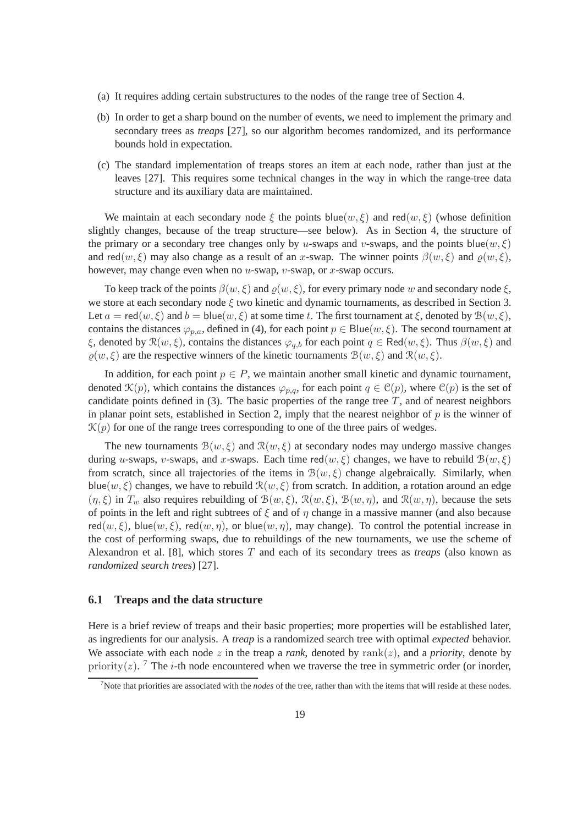- (a) It requires adding certain substructures to the nodes of the range tree of Section 4.
- (b) In order to get a sharp bound on the number of events, we need to implement the primary and secondary trees as *treaps* [27], so our algorithm becomes randomized, and its performance bounds hold in expectation.
- (c) The standard implementation of treaps stores an item at each node, rather than just at the leaves [27]. This requires some technical changes in the way in which the range-tree data structure and its auxiliary data are maintained.

We maintain at each secondary node  $\xi$  the points blue(w,  $\xi$ ) and red(w,  $\xi$ ) (whose definition slightly changes, because of the treap structure—see below). As in Section 4, the structure of the primary or a secondary tree changes only by u-swaps and v-swaps, and the points blue( $w, \xi$ ) and red $(w, \xi)$  may also change as a result of an x-swap. The winner points  $\beta(w, \xi)$  and  $\rho(w, \xi)$ , however, may change even when no  $u$ -swap,  $v$ -swap, or  $x$ -swap occurs.

To keep track of the points  $\beta(w, \xi)$  and  $\rho(w, \xi)$ , for every primary node w and secondary node  $\xi$ , we store at each secondary node  $\xi$  two kinetic and dynamic tournaments, as described in Section 3. Let  $a = \text{red}(w, \xi)$  and  $b = \text{blue}(w, \xi)$  at some time t. The first tournament at  $\xi$ , denoted by  $B(w, \xi)$ , contains the distances  $\varphi_{p,q}$ , defined in (4), for each point  $p \in Blue(w, \xi)$ . The second tournament at  $\xi$ , denoted by  $\mathcal{R}(w,\xi)$ , contains the distances  $\varphi_{q,b}$  for each point  $q \in \text{Red}(w,\xi)$ . Thus  $\beta(w,\xi)$  and  $\rho(w, \xi)$  are the respective winners of the kinetic tournaments  $\mathcal{B}(w, \xi)$  and  $\mathcal{R}(w, \xi)$ .

In addition, for each point  $p \in P$ , we maintain another small kinetic and dynamic tournament, denoted  $\mathcal{K}(p)$ , which contains the distances  $\varphi_{p,q}$ , for each point  $q \in \mathcal{C}(p)$ , where  $\mathcal{C}(p)$  is the set of candidate points defined in  $(3)$ . The basic properties of the range tree T, and of nearest neighbors in planar point sets, established in Section 2, imply that the nearest neighbor of  $p$  is the winner of  $\mathcal{K}(p)$  for one of the range trees corresponding to one of the three pairs of wedges.

The new tournaments  $\mathcal{B}(w,\xi)$  and  $\mathcal{R}(w,\xi)$  at secondary nodes may undergo massive changes during u-swaps, v-swaps, and x-swaps. Each time red(w,  $\xi$ ) changes, we have to rebuild  $\mathcal{B}(w, \xi)$ from scratch, since all trajectories of the items in  $\mathcal{B}(w,\xi)$  change algebraically. Similarly, when blue(w,  $\xi$ ) changes, we have to rebuild  $\Re(w, \xi)$  from scratch. In addition, a rotation around an edge  $(\eta, \xi)$  in  $T_w$  also requires rebuilding of  $\mathcal{B}(w, \xi)$ ,  $\mathcal{R}(w, \xi)$ ,  $\mathcal{B}(w, \eta)$ , and  $\mathcal{R}(w, \eta)$ , because the sets of points in the left and right subtrees of  $\xi$  and of  $\eta$  change in a massive manner (and also because red $(w, \xi)$ , blue $(w, \xi)$ , red $(w, \eta)$ , or blue $(w, \eta)$ , may change). To control the potential increase in the cost of performing swaps, due to rebuildings of the new tournaments, we use the scheme of Alexandron et al. [8], which stores T and each of its secondary trees as *treaps* (also known as *randomized search trees*) [27].

#### **6.1 Treaps and the data structure**

Here is a brief review of treaps and their basic properties; more properties will be established later, as ingredients for our analysis. A *treap* is a randomized search tree with optimal *expected* behavior. We associate with each node z in the treap a *rank*, denoted by rank $(z)$ , and a *priority*, denote by priority(z). <sup>7</sup> The *i*-th node encountered when we traverse the tree in symmetric order (or inorder,

<sup>7</sup>Note that priorities are associated with the *nodes* of the tree, rather than with the items that will reside at these nodes.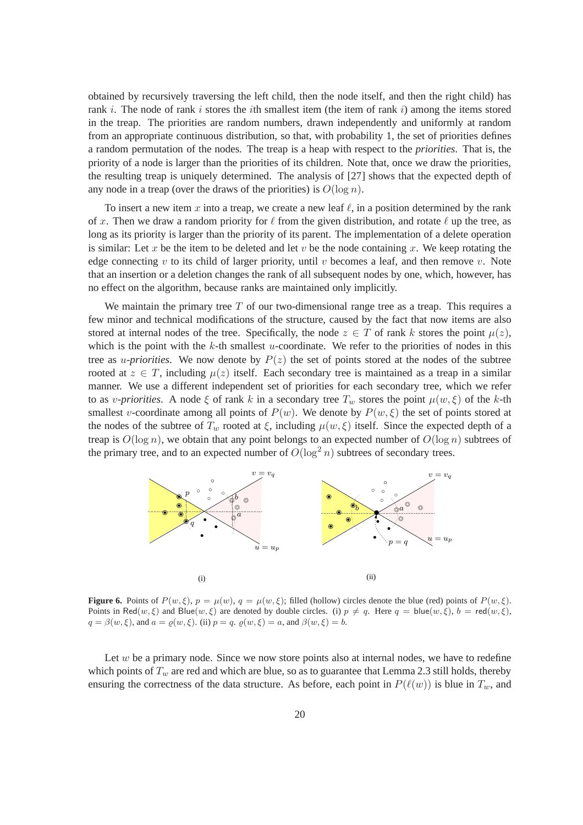obtained by recursively traversing the left child, then the node itself, and then the right child) has rank i. The node of rank i stores the ith smallest item (the item of rank i) among the items stored in the treap. The priorities are random numbers, drawn independently and uniformly at random from an appropriate continuous distribution, so that, with probability 1, the set of priorities defines a random permutation of the nodes. The treap is a heap with respect to the *priorities*. That is, the priority of a node is larger than the priorities of its children. Note that, once we draw the priorities, the resulting treap is uniquely determined. The analysis of [27] shows that the expected depth of any node in a treap (over the draws of the priorities) is  $O(\log n)$ .

To insert a new item x into a treap, we create a new leaf  $\ell$ , in a position determined by the rank of x. Then we draw a random priority for  $\ell$  from the given distribution, and rotate  $\ell$  up the tree, as long as its priority is larger than the priority of its parent. The implementation of a delete operation is similar: Let x be the item to be deleted and let  $v$  be the node containing  $x$ . We keep rotating the edge connecting v to its child of larger priority, until v becomes a leaf, and then remove v. Note that an insertion or a deletion changes the rank of all subsequent nodes by one, which, however, has no effect on the algorithm, because ranks are maintained only implicitly.

We maintain the primary tree  $T$  of our two-dimensional range tree as a treap. This requires a few minor and technical modifications of the structure, caused by the fact that now items are also stored at internal nodes of the tree. Specifically, the node  $z \in T$  of rank k stores the point  $\mu(z)$ , which is the point with the  $k$ -th smallest u-coordinate. We refer to the priorities of nodes in this tree as *u-priorities*. We now denote by  $P(z)$  the set of points stored at the nodes of the subtree rooted at  $z \in T$ , including  $\mu(z)$  itself. Each secondary tree is maintained as a treap in a similar manner. We use a different independent set of priorities for each secondary tree, which we refer to as *v-priorities*. A node  $\xi$  of rank k in a secondary tree  $T_w$  stores the point  $\mu(w, \xi)$  of the k-th smallest v-coordinate among all points of  $P(w)$ . We denote by  $P(w, \xi)$  the set of points stored at the nodes of the subtree of  $T_w$  rooted at  $\xi$ , including  $\mu(w, \xi)$  itself. Since the expected depth of a treap is  $O(\log n)$ , we obtain that any point belongs to an expected number of  $O(\log n)$  subtrees of the primary tree, and to an expected number of  $O(\log^2 n)$  subtrees of secondary trees.



**Figure 6.** Points of  $P(w, \xi)$ ,  $p = \mu(w), q = \mu(w, \xi)$ ; filled (hollow) circles denote the blue (red) points of  $P(w, \xi)$ . Points in Red $(w, \xi)$  and Blue $(w, \xi)$  are denoted by double circles. (i)  $p \neq q$ . Here  $q = \text{blue}(w, \xi)$ ,  $b = \text{red}(w, \xi)$ ,  $q = \beta(w, \xi)$ , and  $a = \rho(w, \xi)$ . (ii)  $p = q$ .  $\rho(w, \xi) = a$ , and  $\beta(w, \xi) = b$ .

Let  $w$  be a primary node. Since we now store points also at internal nodes, we have to redefine which points of  $T_w$  are red and which are blue, so as to guarantee that Lemma 2.3 still holds, thereby ensuring the correctness of the data structure. As before, each point in  $P(\ell(w))$  is blue in  $T_w$ , and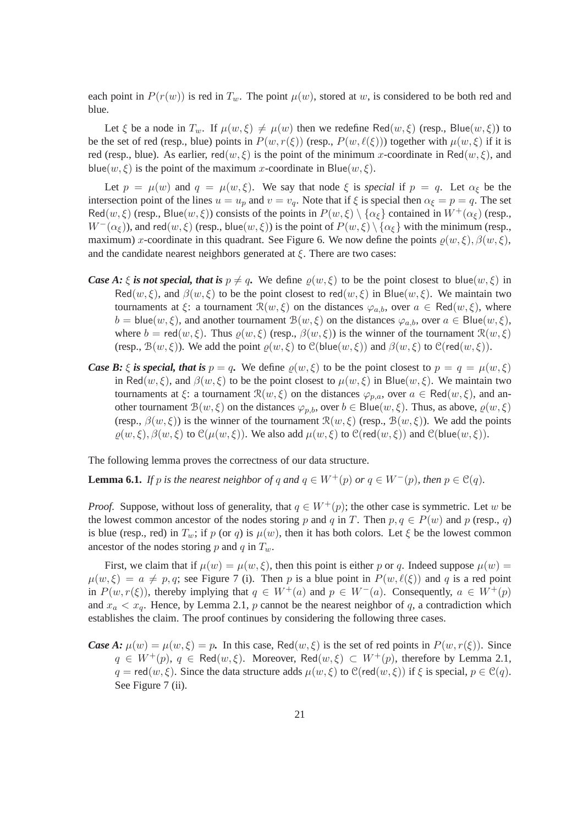each point in  $P(r(w))$  is red in  $T_w$ . The point  $\mu(w)$ , stored at w, is considered to be both red and blue.

Let  $\xi$  be a node in  $T_w$ . If  $\mu(w, \xi) \neq \mu(w)$  then we redefine Red $(w, \xi)$  (resp., Blue $(w, \xi)$ ) to be the set of red (resp., blue) points in  $P(w, r(\xi))$  (resp.,  $P(w, \ell(\xi))$ ) together with  $\mu(w, \xi)$  if it is red (resp., blue). As earlier,  $\text{red}(w, \xi)$  is the point of the minimum x-coordinate in Red $(w, \xi)$ , and blue(w,  $\xi$ ) is the point of the maximum x-coordinate in Blue(w,  $\xi$ ).

Let  $p = \mu(w)$  and  $q = \mu(w, \xi)$ . We say that node  $\xi$  is *special* if  $p = q$ . Let  $\alpha_{\xi}$  be the intersection point of the lines  $u = u_p$  and  $v = v_q$ . Note that if  $\xi$  is special then  $\alpha_{\xi} = p = q$ . The set Red $(w, \xi)$  (resp., Blue $(w, \xi)$ ) consists of the points in  $P(w, \xi) \setminus {\alpha_{\xi}}$  contained in  $W^+(\alpha_{\xi})$  (resp.,  $W^{-}(\alpha_{\xi})$ ), and red $(w, \xi)$  (resp., blue $(w, \xi)$ ) is the point of  $P(w, \xi) \setminus {\alpha_{\xi}}$  with the minimum (resp., maximum) x-coordinate in this quadrant. See Figure 6. We now define the points  $\varrho(w,\xi), \beta(w,\xi),$ and the candidate nearest neighbors generated at  $\xi$ . There are two cases:

- *Case A:*  $\xi$  *is not special, that is*  $p \neq q$ . We define  $\rho(w, \xi)$  to be the point closest to blue(w,  $\xi$ ) in Red $(w, \xi)$ , and  $\beta(w, \xi)$  to be the point closest to red $(w, \xi)$  in Blue $(w, \xi)$ . We maintain two tournaments at  $\xi$ : a tournament  $\mathcal{R}(w,\xi)$  on the distances  $\varphi_{a,b}$ , over  $a \in \text{Red}(w,\xi)$ , where  $b = blue(w, \xi)$ , and another tournament  $B(w, \xi)$  on the distances  $\varphi_{a,b}$ , over  $a \in Blue(w, \xi)$ , where  $b = \text{red}(w, \xi)$ . Thus  $\varrho(w, \xi)$  (resp.,  $\beta(w, \xi)$ ) is the winner of the tournament  $\Re(w, \xi)$ (resp.,  $\mathcal{B}(w,\xi)$ ). We add the point  $\varrho(w,\xi)$  to  $\mathcal{C}(\text{blue}(w,\xi))$  and  $\beta(w,\xi)$  to  $\mathcal{C}(\text{red}(w,\xi))$ .
- *Case B:*  $\xi$  *is special, that is*  $p = q$ . We define  $\rho(w, \xi)$  to be the point closest to  $p = q = \mu(w, \xi)$ in Red $(w, \xi)$ , and  $\beta(w, \xi)$  to be the point closest to  $\mu(w, \xi)$  in Blue $(w, \xi)$ . We maintain two tournaments at  $\xi$ : a tournament  $\mathcal{R}(w,\xi)$  on the distances  $\varphi_{p,q}$ , over  $a \in \text{Red}(w,\xi)$ , and another tournament  $\mathcal{B}(w,\xi)$  on the distances  $\varphi_{p,b}$ , over  $b \in Blue(w,\xi)$ . Thus, as above,  $\varrho(w,\xi)$ (resp.,  $\beta(w,\xi)$ ) is the winner of the tournament  $\mathcal{R}(w,\xi)$  (resp.,  $\mathcal{B}(w,\xi)$ ). We add the points  $\rho(w, \xi), \beta(w, \xi)$  to  $\mathcal{C}(\mu(w, \xi))$ . We also add  $\mu(w, \xi)$  to  $\mathcal{C}(\text{red}(w, \xi))$  and  $\mathcal{C}(\text{blue}(w, \xi))$ .

The following lemma proves the correctness of our data structure.

**Lemma 6.1.** *If* p *is the nearest neighbor of q and*  $q \in W^+(p)$  *or*  $q \in W^-(p)$ *, then*  $p \in \mathcal{C}(q)$ *.* 

*Proof.* Suppose, without loss of generality, that  $q \in W^+(p)$ ; the other case is symmetric. Let w be the lowest common ancestor of the nodes storing p and q in T. Then  $p, q \in P(w)$  and p (resp., q) is blue (resp., red) in  $T_w$ ; if p (or q) is  $\mu(w)$ , then it has both colors. Let  $\xi$  be the lowest common ancestor of the nodes storing p and q in  $T_w$ .

First, we claim that if  $\mu(w) = \mu(w, \xi)$ , then this point is either p or q. Indeed suppose  $\mu(w) =$  $\mu(w, \xi) = a \neq p, q$ ; see Figure 7 (i). Then p is a blue point in  $P(w, \ell(\xi))$  and q is a red point in  $P(w, r(\xi))$ , thereby implying that  $q \in W^+(a)$  and  $p \in W^-(a)$ . Consequently,  $a \in W^+(p)$ and  $x_a < x_a$ . Hence, by Lemma 2.1, p cannot be the nearest neighbor of q, a contradiction which establishes the claim. The proof continues by considering the following three cases.

*Case A:*  $\mu(w) = \mu(w, \xi) = p$ . In this case, Red $(w, \xi)$  is the set of red points in  $P(w, r(\xi))$ . Since  $q \in W^+(p)$ ,  $q \in \text{Red}(w,\xi)$ . Moreover,  $\text{Red}(w,\xi) \subset W^+(p)$ , therefore by Lemma 2.1,  $q = \text{red}(w, \xi)$ . Since the data structure adds  $\mu(w, \xi)$  to  $\mathcal{C}(\text{red}(w, \xi))$  if  $\xi$  is special,  $p \in \mathcal{C}(q)$ . See Figure 7 (ii).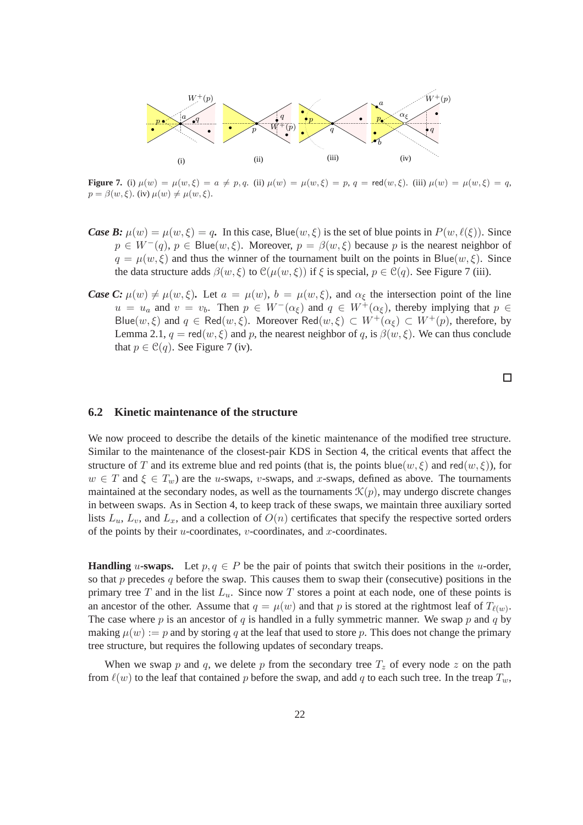

**Figure 7.** (i)  $\mu(w) = \mu(w, \xi) = a \neq p, q$ . (ii)  $\mu(w) = \mu(w, \xi) = p, q = \text{red}(w, \xi)$ . (iii)  $\mu(w) = \mu(w, \xi) = q$ ,  $p = \beta(w, \xi)$ . (iv)  $\mu(w) \neq \mu(w, \xi)$ .

- *Case B:*  $\mu(w) = \mu(w, \xi) = q$ . In this case, Blue $(w, \xi)$  is the set of blue points in  $P(w, \ell(\xi))$ . Since  $p \in W^-(q)$ ,  $p \in Blue(w, \xi)$ . Moreover,  $p = \beta(w, \xi)$  because p is the nearest neighbor of  $q = \mu(w, \xi)$  and thus the winner of the tournament built on the points in Blue(w,  $\xi$ ). Since the data structure adds  $\beta(w,\xi)$  to  $\mathcal{C}(\mu(w,\xi))$  if  $\xi$  is special,  $p \in \mathcal{C}(q)$ . See Figure 7 (iii).
- *Case C:*  $\mu(w) \neq \mu(w, \xi)$ *.* Let  $a = \mu(w)$ *, b =*  $\mu(w, \xi)$ *, and*  $\alpha_{\xi}$  *the intersection point of the line*  $u = u_a$  and  $v = v_b$ . Then  $p \in W^-(\alpha_{\xi})$  and  $q \in W^+(\alpha_{\xi})$ , thereby implying that  $p \in$ Blue(w,  $\xi$ ) and  $q \in \text{Red}(w, \xi)$ . Moreover  $\text{Red}(w, \xi) \subset W^+(\alpha_{\xi}) \subset W^+(p)$ , therefore, by Lemma 2.1,  $q = \text{red}(w, \xi)$  and p, the nearest neighbor of q, is  $\beta(w, \xi)$ . We can thus conclude that  $p \in \mathcal{C}(q)$ . See Figure 7 (iv).

 $\Box$ 

#### **6.2 Kinetic maintenance of the structure**

We now proceed to describe the details of the kinetic maintenance of the modified tree structure. Similar to the maintenance of the closest-pair KDS in Section 4, the critical events that affect the structure of T and its extreme blue and red points (that is, the points blue(w,  $\xi$ ) and red(w,  $\xi$ )), for  $w \in T$  and  $\xi \in T_w$ ) are the u-swaps, v-swaps, and x-swaps, defined as above. The tournaments maintained at the secondary nodes, as well as the tournaments  $\mathcal{K}(p)$ , may undergo discrete changes in between swaps. As in Section 4, to keep track of these swaps, we maintain three auxiliary sorted lists  $L_u$ ,  $L_v$ , and  $L_x$ , and a collection of  $O(n)$  certificates that specify the respective sorted orders of the points by their  $u$ -coordinates,  $v$ -coordinates, and  $x$ -coordinates.

**Handling** u-swaps. Let  $p, q \in P$  be the pair of points that switch their positions in the u-order, so that p precedes q before the swap. This causes them to swap their (consecutive) positions in the primary tree T and in the list  $L_u$ . Since now T stores a point at each node, one of these points is an ancestor of the other. Assume that  $q = \mu(w)$  and that p is stored at the rightmost leaf of  $T_{\ell(w)}$ . The case where p is an ancestor of q is handled in a fully symmetric manner. We swap p and q by making  $\mu(w) := p$  and by storing q at the leaf that used to store p. This does not change the primary tree structure, but requires the following updates of secondary treaps.

When we swap p and q, we delete p from the secondary tree  $T_z$  of every node z on the path from  $\ell(w)$  to the leaf that contained p before the swap, and add q to each such tree. In the treap  $T_w$ ,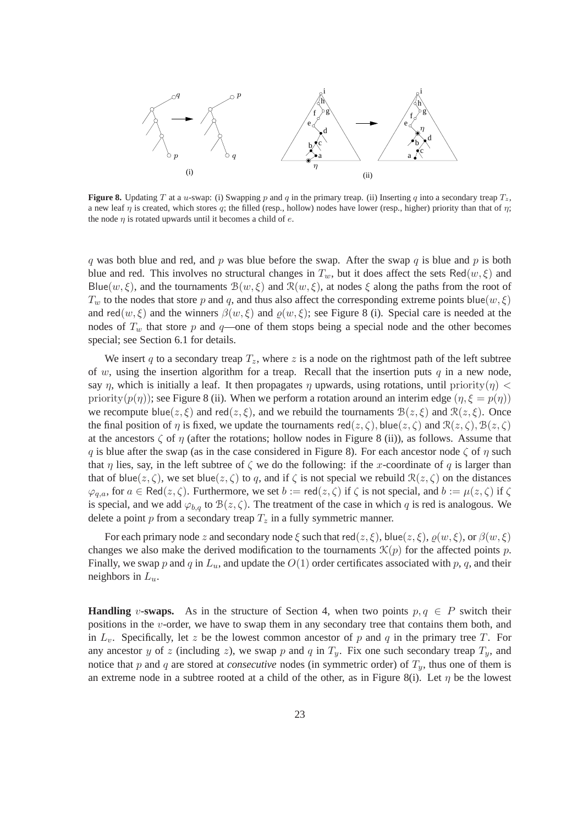

**Figure 8.** Updating T at a u-swap: (i) Swapping p and q in the primary treap. (ii) Inserting q into a secondary treap  $T_z$ , a new leaf  $\eta$  is created, which stores q; the filled (resp., hollow) nodes have lower (resp., higher) priority than that of  $\eta$ ; the node  $\eta$  is rotated upwards until it becomes a child of  $e$ .

q was both blue and red, and p was blue before the swap. After the swap q is blue and p is both blue and red. This involves no structural changes in  $T_w$ , but it does affect the sets Red(w,  $\xi$ ) and Blue(w,  $\xi$ ), and the tournaments  $\mathcal{B}(w,\xi)$  and  $\mathcal{R}(w,\xi)$ , at nodes  $\xi$  along the paths from the root of  $T_w$  to the nodes that store p and q, and thus also affect the corresponding extreme points blue(w,  $\xi$ ) and red $(w, \xi)$  and the winners  $\beta(w, \xi)$  and  $\beta(w, \xi)$ ; see Figure 8 (i). Special care is needed at the nodes of  $T_w$  that store p and q—one of them stops being a special node and the other becomes special; see Section 6.1 for details.

We insert q to a secondary treap  $T_z$ , where z is a node on the rightmost path of the left subtree of w, using the insertion algorithm for a treap. Recall that the insertion puts  $q$  in a new node, say  $\eta$ , which is initially a leaf. It then propagates  $\eta$  upwards, using rotations, until priority( $\eta$ ) < priority( $p(\eta)$ ); see Figure 8 (ii). When we perform a rotation around an interim edge ( $\eta, \xi = p(\eta)$ ) we recompute blue( $z, \xi$ ) and red( $z, \xi$ ), and we rebuild the tournaments  $\mathcal{B}(z, \xi)$  and  $\mathcal{R}(z, \xi)$ . Once the final position of  $\eta$  is fixed, we update the tournaments red( $z, \zeta$ ), blue( $z, \zeta$ ) and  $\mathcal{R}(z, \zeta)$ ,  $\mathcal{B}(z, \zeta)$ at the ancestors  $\zeta$  of  $\eta$  (after the rotations; hollow nodes in Figure 8 (ii)), as follows. Assume that q is blue after the swap (as in the case considered in Figure 8). For each ancestor node  $\zeta$  of  $\eta$  such that  $\eta$  lies, say, in the left subtree of  $\zeta$  we do the following: if the x-coordinate of q is larger than that of blue( $z, \zeta$ ), we set blue( $z, \zeta$ ) to q, and if  $\zeta$  is not special we rebuild  $\mathcal{R}(z, \zeta)$  on the distances  $\varphi_{q,a}$ , for  $a \in \text{Red}(z,\zeta)$ . Furthermore, we set  $b := \text{red}(z,\zeta)$  if  $\zeta$  is not special, and  $b := \mu(z,\zeta)$  if  $\zeta$ is special, and we add  $\varphi_{b,q}$  to  $\mathcal{B}(z,\zeta)$ . The treatment of the case in which q is red is analogous. We delete a point  $p$  from a secondary treap  $T_z$  in a fully symmetric manner.

For each primary node z and secondary node  $\xi$  such that red( $z, \xi$ ), blue( $z, \xi$ ),  $\varrho(w, \xi)$ , or  $\beta(w, \xi)$ changes we also make the derived modification to the tournaments  $\mathcal{K}(p)$  for the affected points p. Finally, we swap p and q in  $L_u$ , and update the  $O(1)$  order certificates associated with p, q, and their neighbors in  $L_u$ .

**Handling** v-swaps. As in the structure of Section 4, when two points  $p, q \in P$  switch their positions in the v-order, we have to swap them in any secondary tree that contains them both, and in  $L_v$ . Specifically, let z be the lowest common ancestor of p and q in the primary tree T. For any ancestor y of z (including z), we swap p and q in  $T_y$ . Fix one such secondary treap  $T_y$ , and notice that p and q are stored at *consecutive* nodes (in symmetric order) of  $T_u$ , thus one of them is an extreme node in a subtree rooted at a child of the other, as in Figure 8(i). Let  $\eta$  be the lowest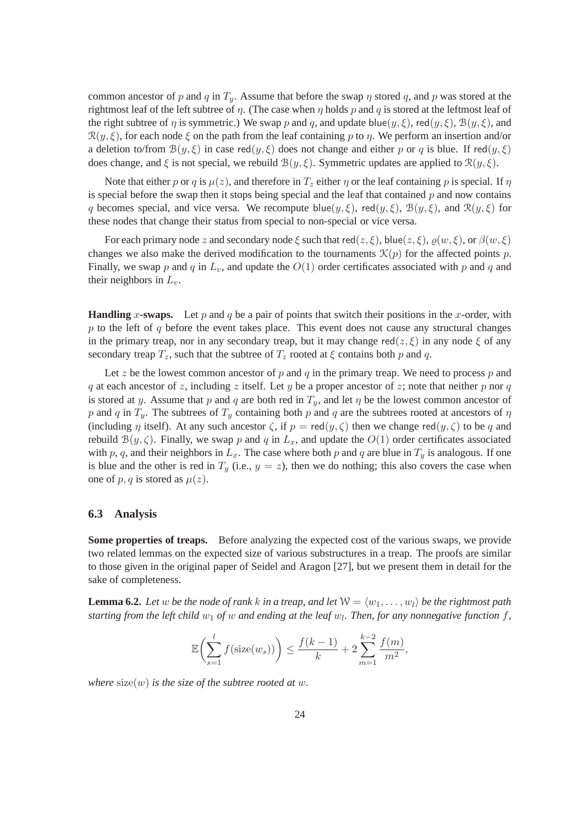common ancestor of p and q in  $T_y$ . Assume that before the swap  $\eta$  stored q, and p was stored at the rightmost leaf of the left subtree of  $\eta$ . (The case when  $\eta$  holds p and q is stored at the leftmost leaf of the right subtree of  $\eta$  is symmetric.) We swap p and q, and update blue( $y, \xi$ ), red( $y, \xi$ ),  $\mathcal{B}(y, \xi)$ , and  $\mathcal{R}(y,\xi)$ , for each node  $\xi$  on the path from the leaf containing p to  $\eta$ . We perform an insertion and/or a deletion to/from  $\mathcal{B}(y,\xi)$  in case red $(y,\xi)$  does not change and either p or q is blue. If red $(y,\xi)$ does change, and  $\xi$  is not special, we rebuild  $\mathcal{B}(y,\xi)$ . Symmetric updates are applied to  $\mathcal{R}(y,\xi)$ .

Note that either p or q is  $\mu(z)$ , and therefore in  $T_z$  either  $\eta$  or the leaf containing p is special. If  $\eta$ is special before the swap then it stops being special and the leaf that contained  $p$  and now contains q becomes special, and vice versa. We recompute blue( $y, \xi$ ), red( $y, \xi$ ),  $B(y, \xi)$ , and  $\mathcal{R}(y, \xi)$  for these nodes that change their status from special to non-special or vice versa.

For each primary node z and secondary node  $\xi$  such that red( $z, \xi$ ), blue( $z, \xi$ ),  $\varrho(w, \xi)$ , or  $\beta(w, \xi)$ changes we also make the derived modification to the tournaments  $\mathcal{K}(p)$  for the affected points p. Finally, we swap p and q in  $L_v$ , and update the  $O(1)$  order certificates associated with p and q and their neighbors in  $L_v$ .

**Handling** x-swaps. Let p and q be a pair of points that switch their positions in the x-order, with  $p$  to the left of  $q$  before the event takes place. This event does not cause any structural changes in the primary treap, nor in any secondary treap, but it may change red( $z, \xi$ ) in any node  $\xi$  of any secondary treap  $T_z$ , such that the subtree of  $T_z$  rooted at  $\xi$  contains both p and q.

Let z be the lowest common ancestor of p and q in the primary treap. We need to process p and q at each ancestor of z, including z itself. Let y be a proper ancestor of z; note that neither p nor q is stored at y. Assume that p and q are both red in  $T_y$ , and let  $\eta$  be the lowest common ancestor of p and q in  $T_y$ . The subtrees of  $T_y$  containing both p and q are the subtrees rooted at ancestors of  $\eta$ (including  $\eta$  itself). At any such ancestor  $\zeta$ , if  $p = \text{red}(y, \zeta)$  then we change red $(y, \zeta)$  to be q and rebuild  $B(y, \zeta)$ . Finally, we swap p and q in  $L_x$ , and update the  $O(1)$  order certificates associated with p, q, and their neighbors in  $L_x$ . The case where both p and q are blue in  $T_y$  is analogous. If one is blue and the other is red in  $T_y$  (i.e.,  $y = z$ ), then we do nothing; this also covers the case when one of p, q is stored as  $\mu(z)$ .

#### **6.3 Analysis**

Some properties of treaps. Before analyzing the expected cost of the various swaps, we provide two related lemmas on the expected size of various substructures in a treap. The proofs are similar to those given in the original paper of Seidel and Aragon [27], but we present them in detail for the sake of completeness.

**Lemma 6.2.** Let w be the node of rank k in a treap, and let  $W = \langle w_1, \ldots, w_l \rangle$  be the rightmost path *starting from the left child*  $w_1$  *of*  $w$  *and ending at the leaf*  $w_l$ *. Then, for any nonnegative function f,* 

$$
\mathbb{E}\left(\sum_{s=1}^{l} f(\text{size}(w_s))\right) \le \frac{f(k-1)}{k} + 2\sum_{m=1}^{k-2} \frac{f(m)}{m^2},
$$

*where*  $size(w)$  *is the size of the subtree rooted at w.*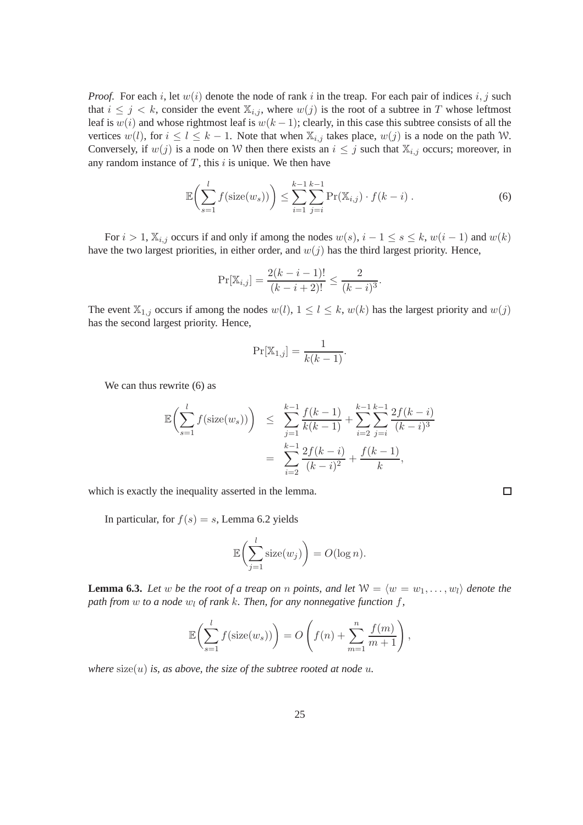*Proof.* For each i, let  $w(i)$  denote the node of rank i in the treap. For each pair of indices  $i, j$  such that  $i \leq j \leq k$ , consider the event  $\mathbb{X}_{i,j}$ , where  $w(j)$  is the root of a subtree in T whose leftmost leaf is  $w(i)$  and whose rightmost leaf is  $w(k-1)$ ; clearly, in this case this subtree consists of all the vertices  $w(l)$ , for  $i \le l \le k - 1$ . Note that when  $\mathbb{X}_{i,j}$  takes place,  $w(j)$  is a node on the path W. Conversely, if  $w(j)$  is a node on W then there exists an  $i \leq j$  such that  $\mathbb{X}_{i,j}$  occurs; moreover, in any random instance of  $T$ , this  $i$  is unique. We then have

$$
\mathbb{E}\left(\sum_{s=1}^{l} f(\text{size}(w_s))\right) \le \sum_{i=1}^{k-1} \sum_{j=i}^{k-1} \Pr(\mathbb{X}_{i,j}) \cdot f(k-i) \tag{6}
$$

 $\Box$ 

For  $i > 1$ ,  $\mathbb{X}_{i,j}$  occurs if and only if among the nodes  $w(s)$ ,  $i - 1 \le s \le k$ ,  $w(i - 1)$  and  $w(k)$ have the two largest priorities, in either order, and  $w(j)$  has the third largest priority. Hence,

$$
\Pr[\mathbb{X}_{i,j}] = \frac{2(k-i-1)!}{(k-i+2)!} \le \frac{2}{(k-i)^3}.
$$

The event  $\mathbb{X}_{1,j}$  occurs if among the nodes  $w(l)$ ,  $1 \leq l \leq k$ ,  $w(k)$  has the largest priority and  $w(j)$ has the second largest priority. Hence,

$$
\Pr[\mathbb{X}_{1,j}] = \frac{1}{k(k-1)}.
$$

We can thus rewrite  $(6)$  as

$$
\mathbb{E}\left(\sum_{s=1}^{l} f(\text{size}(w_s))\right) \leq \sum_{j=1}^{k-1} \frac{f(k-1)}{k(k-1)} + \sum_{i=2}^{k-1} \sum_{j=i}^{k-1} \frac{2f(k-i)}{(k-i)^3}
$$

$$
= \sum_{i=2}^{k-1} \frac{2f(k-i)}{(k-i)^2} + \frac{f(k-1)}{k},
$$

which is exactly the inequality asserted in the lemma.

In particular, for  $f(s) = s$ , Lemma 6.2 yields

$$
\mathbb{E}\biggl(\sum_{j=1}^l \text{size}(w_j)\biggr) = O(\log n).
$$

**Lemma 6.3.** Let w be the root of a treap on n points, and let  $W = \langle w = w_1, \ldots, w_l \rangle$  denote the *path from* w *to a node*  $w_l$  *of rank k. Then, for any nonnegative function*  $f$ *,* 

$$
\mathbb{E}\left(\sum_{s=1}^l f(\text{size}(w_s))\right) = O\left(f(n) + \sum_{m=1}^n \frac{f(m)}{m+1}\right),\,
$$

*where*  $size(u)$  *is, as above, the size of the subtree rooted at node u.*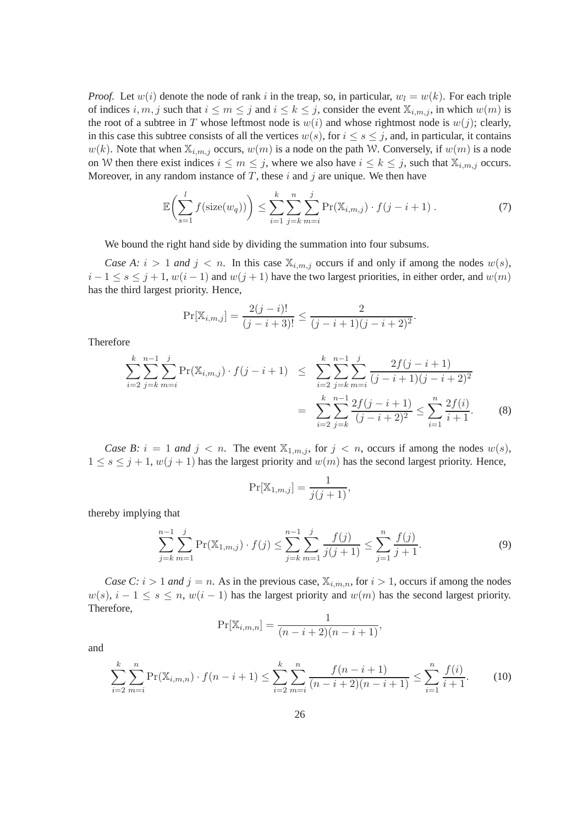*Proof.* Let  $w(i)$  denote the node of rank i in the treap, so, in particular,  $w<sub>l</sub> = w(k)$ . For each triple of indices i, m, j such that  $i \le m \le j$  and  $i \le k \le j$ , consider the event  $\mathbb{X}_{i,m,j}$ , in which  $w(m)$  is the root of a subtree in T whose leftmost node is  $w(i)$  and whose rightmost node is  $w(j)$ ; clearly, in this case this subtree consists of all the vertices  $w(s)$ , for  $i \leq s \leq j$ , and, in particular, it contains  $w(k)$ . Note that when  $\mathbb{X}_{i,m,j}$  occurs,  $w(m)$  is a node on the path W. Conversely, if  $w(m)$  is a node on W then there exist indices  $i \leq m \leq j$ , where we also have  $i \leq k \leq j$ , such that  $\mathbb{X}_{i,m,j}$  occurs. Moreover, in any random instance of  $T$ , these  $i$  and  $j$  are unique. We then have

$$
\mathbb{E}\left(\sum_{s=1}^{l} f(\text{size}(w_q))\right) \leq \sum_{i=1}^{k} \sum_{j=k}^{n} \sum_{m=i}^{j} \Pr(\mathbb{X}_{i,m,j}) \cdot f(j-i+1) \tag{7}
$$

.

We bound the right hand side by dividing the summation into four subsums.

*Case A:*  $i > 1$  *and*  $j < n$ . In this case  $\mathbb{X}_{i,m,j}$  occurs if and only if among the nodes  $w(s)$ ,  $i-1 \leq s \leq j+1$ ,  $w(i-1)$  and  $w(j+1)$  have the two largest priorities, in either order, and  $w(m)$ has the third largest priority. Hence,

$$
\Pr[\mathbb{X}_{i,m,j}] = \frac{2(j-i)!}{(j-i+3)!} \le \frac{2}{(j-i+1)(j-i+2)^2}
$$

Therefore

$$
\sum_{i=2}^{k} \sum_{j=k}^{n-1} \sum_{m=i}^{j} \Pr(\mathbb{X}_{i,m,j}) \cdot f(j-i+1) \leq \sum_{i=2}^{k} \sum_{j=k}^{n-1} \sum_{m=i}^{j} \frac{2f(j-i+1)}{(j-i+1)(j-i+2)^2}
$$

$$
= \sum_{i=2}^{k} \sum_{j=k}^{n-1} \frac{2f(j-i+1)}{(j-i+2)^2} \leq \sum_{i=1}^{n} \frac{2f(i)}{i+1}.
$$
(8)

*Case B:*  $i = 1$  *and*  $j < n$ . The event  $\mathbb{X}_{1,m,j}$ , for  $j < n$ , occurs if among the nodes  $w(s)$ ,  $1 \leq s \leq j+1$ ,  $w(j+1)$  has the largest priority and  $w(m)$  has the second largest priority. Hence,

$$
\Pr[\mathbb{X}_{1,m,j}] = \frac{1}{j(j+1)},
$$

thereby implying that

$$
\sum_{j=k}^{n-1} \sum_{m=1}^{j} \Pr(\mathbb{X}_{1,m,j}) \cdot f(j) \le \sum_{j=k}^{n-1} \sum_{m=1}^{j} \frac{f(j)}{j(j+1)} \le \sum_{j=1}^{n} \frac{f(j)}{j+1}.
$$
 (9)

*Case C:*  $i > 1$  *and*  $j = n$ . As in the previous case,  $\mathbb{X}_{i,m,n}$ , for  $i > 1$ , occurs if among the nodes  $w(s)$ ,  $i - 1 \le s \le n$ ,  $w(i - 1)$  has the largest priority and  $w(m)$  has the second largest priority. Therefore,

$$
\Pr[\mathbb{X}_{i,m,n}] = \frac{1}{(n-i+2)(n-i+1)},
$$

and

$$
\sum_{i=2}^{k} \sum_{m=i}^{n} \Pr(\mathbb{X}_{i,m,n}) \cdot f(n-i+1) \le \sum_{i=2}^{k} \sum_{m=i}^{n} \frac{f(n-i+1)}{(n-i+2)(n-i+1)} \le \sum_{i=1}^{n} \frac{f(i)}{i+1}.
$$
 (10)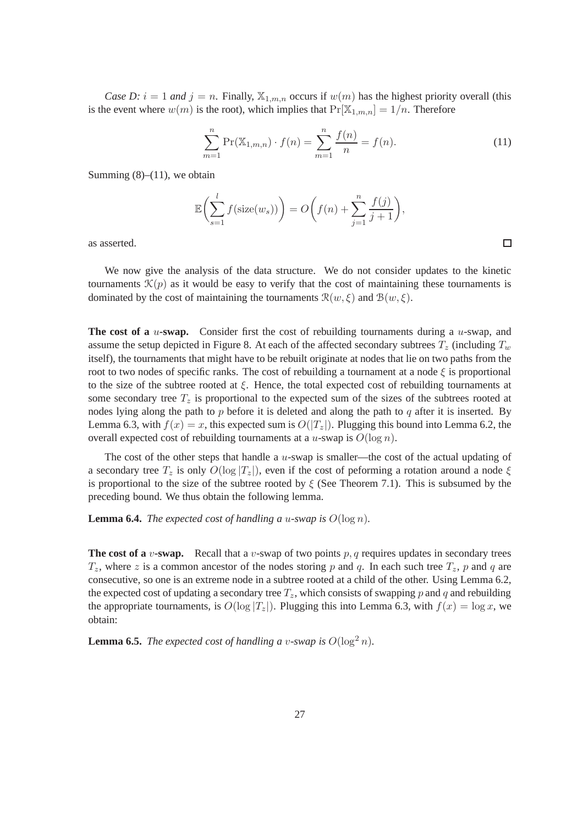*Case D:*  $i = 1$  *and*  $j = n$ . Finally,  $\mathbb{X}_{1,m,n}$  occurs if  $w(m)$  has the highest priority overall (this is the event where  $w(m)$  is the root), which implies that  $Pr[\mathbb{X}_{1,m,n}] = 1/n$ . Therefore

$$
\sum_{m=1}^{n} \Pr(\mathbb{X}_{1,m,n}) \cdot f(n) = \sum_{m=1}^{n} \frac{f(n)}{n} = f(n).
$$
 (11)

Summing  $(8)$ – $(11)$ , we obtain

$$
\mathbb{E}\left(\sum_{s=1}^{l} f(\text{size}(w_s))\right) = O\left(f(n) + \sum_{j=1}^{n} \frac{f(j)}{j+1}\right),\right)
$$

as asserted.

We now give the analysis of the data structure. We do not consider updates to the kinetic tournaments  $\mathcal{K}(p)$  as it would be easy to verify that the cost of maintaining these tournaments is dominated by the cost of maintaining the tournaments  $\mathcal{R}(w,\xi)$  and  $\mathcal{B}(w,\xi)$ .

**The cost of a** u-swap. Consider first the cost of rebuilding tournaments during a u-swap, and assume the setup depicted in Figure 8. At each of the affected secondary subtrees  $T_z$  (including  $T_w$ itself), the tournaments that might have to be rebuilt originate at nodes that lie on two paths from the root to two nodes of specific ranks. The cost of rebuilding a tournament at a node  $\xi$  is proportional to the size of the subtree rooted at  $\xi$ . Hence, the total expected cost of rebuilding tournaments at some secondary tree  $T<sub>z</sub>$  is proportional to the expected sum of the sizes of the subtrees rooted at nodes lying along the path to  $p$  before it is deleted and along the path to  $q$  after it is inserted. By Lemma 6.3, with  $f(x) = x$ , this expected sum is  $O(|T_z|)$ . Plugging this bound into Lemma 6.2, the overall expected cost of rebuilding tournaments at a u-swap is  $O(\log n)$ .

The cost of the other steps that handle a  $u$ -swap is smaller—the cost of the actual updating of a secondary tree  $T_z$  is only  $O(\log |T_z|)$ , even if the cost of peforming a rotation around a node  $\xi$ is proportional to the size of the subtree rooted by  $\xi$  (See Theorem 7.1). This is subsumed by the preceding bound. We thus obtain the following lemma.

**Lemma 6.4.** *The expected cost of handling a u-swap is*  $O(\log n)$ *.* 

**The cost of a** v-swap. Recall that a v-swap of two points  $p$ , q requires updates in secondary trees  $T_z$ , where z is a common ancestor of the nodes storing p and q. In each such tree  $T_z$ , p and q are consecutive, so one is an extreme node in a subtree rooted at a child of the other. Using Lemma 6.2, the expected cost of updating a secondary tree  $T_z$ , which consists of swapping p and q and rebuilding the appropriate tournaments, is  $O(\log |T_z|)$ . Plugging this into Lemma 6.3, with  $f(x) = \log x$ , we obtain:

**Lemma 6.5.** *The expected cost of handling a v-swap is*  $O(\log^2 n)$ *.*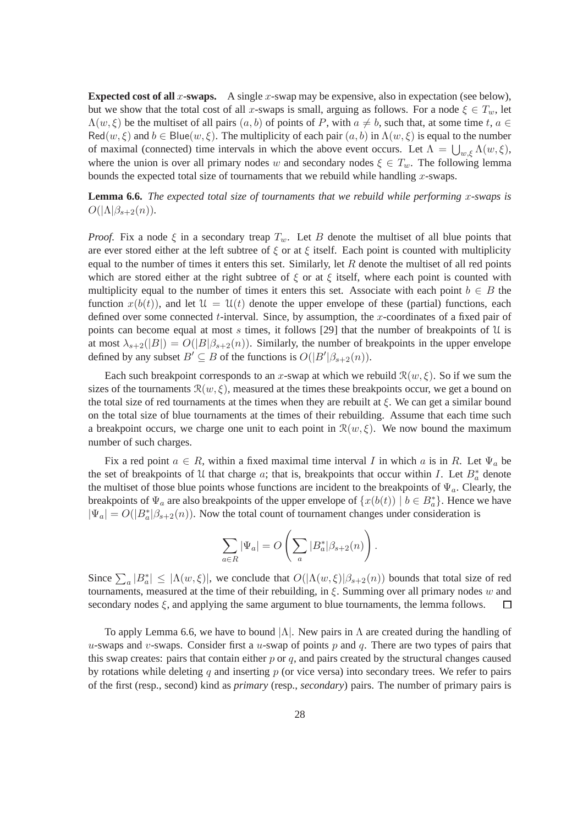**Expected cost of all x-swaps.** A single x-swap may be expensive, also in expectation (see below), but we show that the total cost of all x-swaps is small, arguing as follows. For a node  $\xi \in T_w$ , let  $\Lambda(w,\xi)$  be the multiset of all pairs  $(a, b)$  of points of P, with  $a \neq b$ , such that, at some time t,  $a \in$  $\text{Red}(w,\xi)$  and  $b \in \text{Blue}(w,\xi)$ . The multiplicity of each pair  $(a, b)$  in  $\Lambda(w,\xi)$  is equal to the number of maximal (connected) time intervals in which the above event occurs. Let  $\Lambda = \bigcup_{w,\xi} \Lambda(w,\xi)$ , where the union is over all primary nodes w and secondary nodes  $\xi \in T_w$ . The following lemma bounds the expected total size of tournaments that we rebuild while handling  $x$ -swaps.

**Lemma 6.6.** *The expected total size of tournaments that we rebuild while performing* x*-swaps is*  $O(|\Lambda|\beta_{s+2}(n)).$ 

*Proof.* Fix a node  $\xi$  in a secondary treap  $T_w$ . Let B denote the multiset of all blue points that are ever stored either at the left subtree of  $\xi$  or at  $\xi$  itself. Each point is counted with multiplicity equal to the number of times it enters this set. Similarly, let  $R$  denote the multiset of all red points which are stored either at the right subtree of  $\xi$  or at  $\xi$  itself, where each point is counted with multiplicity equal to the number of times it enters this set. Associate with each point  $b \in B$  the function  $x(b(t))$ , and let  $\mathcal{U} = \mathcal{U}(t)$  denote the upper envelope of these (partial) functions, each defined over some connected  $t$ -interval. Since, by assumption, the  $x$ -coordinates of a fixed pair of points can become equal at most s times, it follows [29] that the number of breakpoints of  $U$  is at most  $\lambda_{s+2}(|B|) = O(|B|\beta_{s+2}(n))$ . Similarly, the number of breakpoints in the upper envelope defined by any subset  $B' \subseteq B$  of the functions is  $O(|B'| \beta_{s+2}(n))$ .

Each such breakpoint corresponds to an x-swap at which we rebuild  $\mathcal{R}(w, \xi)$ . So if we sum the sizes of the tournaments  $\mathcal{R}(w, \xi)$ , measured at the times these breakpoints occur, we get a bound on the total size of red tournaments at the times when they are rebuilt at  $\xi$ . We can get a similar bound on the total size of blue tournaments at the times of their rebuilding. Assume that each time such a breakpoint occurs, we charge one unit to each point in  $\mathcal{R}(w,\xi)$ . We now bound the maximum number of such charges.

Fix a red point  $a \in R$ , within a fixed maximal time interval I in which a is in R. Let  $\Psi_a$  be the set of breakpoints of U that charge a; that is, breakpoints that occur within I. Let  $B^*_{\alpha}$  denote the multiset of those blue points whose functions are incident to the breakpoints of  $\Psi_a$ . Clearly, the breakpoints of  $\Psi_a$  are also breakpoints of the upper envelope of  $\{x(b(t)) \mid b \in B_a^*\}$ . Hence we have  $|\Psi_a| = O(|B^*_a|\beta_{s+2}(n))$ . Now the total count of tournament changes under consideration is

$$
\sum_{a \in R} |\Psi_a| = O\left(\sum_a |B_a^*| \beta_{s+2}(n)\right).
$$

Since  $\sum_a |B^*_a| \leq |\Lambda(w,\xi)|$ , we conclude that  $O(|\Lambda(w,\xi)|\beta_{s+2}(n))$  bounds that total size of red tournaments, measured at the time of their rebuilding, in  $\xi$ . Summing over all primary nodes w and secondary nodes  $\xi$ , and applying the same argument to blue tournaments, the lemma follows.  $\Box$ 

To apply Lemma 6.6, we have to bound  $|\Lambda|$ . New pairs in  $\Lambda$  are created during the handling of u-swaps and v-swaps. Consider first a u-swap of points p and q. There are two types of pairs that this swap creates: pairs that contain either  $p$  or  $q$ , and pairs created by the structural changes caused by rotations while deleting q and inserting  $p$  (or vice versa) into secondary trees. We refer to pairs of the first (resp., second) kind as *primary* (resp., *secondary*) pairs. The number of primary pairs is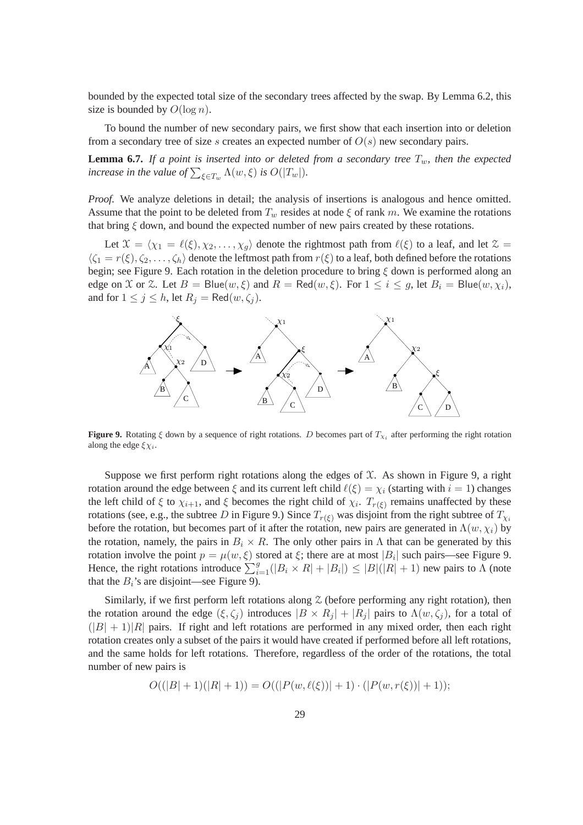bounded by the expected total size of the secondary trees affected by the swap. By Lemma 6.2, this size is bounded by  $O(\log n)$ .

To bound the number of new secondary pairs, we first show that each insertion into or deletion from a secondary tree of size s creates an expected number of  $O(s)$  new secondary pairs.

**Lemma 6.7.** *If a point is inserted into or deleted from a secondary tree*  $T_w$ *, then the expected increase in the value of*  $\sum_{\xi \in T_w} \Lambda(w, \xi)$  *is O* $(|T_w|)$ *.* 

*Proof.* We analyze deletions in detail; the analysis of insertions is analogous and hence omitted. Assume that the point to be deleted from  $T_w$  resides at node  $\xi$  of rank m. We examine the rotations that bring  $\xi$  down, and bound the expected number of new pairs created by these rotations.

Let  $\mathcal{X} = \langle \chi_1 = \ell(\xi), \chi_2, \ldots, \chi_g \rangle$  denote the rightmost path from  $\ell(\xi)$  to a leaf, and let  $\mathcal{Z} =$  $\langle \zeta_1 = r(\xi), \zeta_2, \dots, \zeta_h \rangle$  denote the leftmost path from  $r(\xi)$  to a leaf, both defined before the rotations begin; see Figure 9. Each rotation in the deletion procedure to bring  $\xi$  down is performed along an edge on  $X$  or  $\mathcal{Z}$ . Let  $B = \text{Blue}(w, \xi)$  and  $R = \text{Red}(w, \xi)$ . For  $1 \le i \le g$ , let  $B_i = \text{Blue}(w, \chi_i)$ , and for  $1 \leq j \leq h$ , let  $R_j = \text{Red}(w, \zeta_j)$ .



**Figure 9.** Rotating  $\xi$  down by a sequence of right rotations. D becomes part of  $T_{\chi_i}$  after performing the right rotation along the edge  $\xi \chi_i$ .

Suppose we first perform right rotations along the edges of  $\mathfrak{X}$ . As shown in Figure 9, a right rotation around the edge between  $\xi$  and its current left child  $\ell(\xi) = \chi_i$  (starting with  $i = 1$ ) changes the left child of  $\xi$  to  $\chi_{i+1}$ , and  $\xi$  becomes the right child of  $\chi_i$ .  $T_{r(\xi)}$  remains unaffected by these rotations (see, e.g., the subtree D in Figure 9.) Since  $T_{r(\xi)}$  was disjoint from the right subtree of  $T_{\chi_i}$ before the rotation, but becomes part of it after the rotation, new pairs are generated in  $\Lambda(w, \chi_i)$  by the rotation, namely, the pairs in  $B_i \times R$ . The only other pairs in Λ that can be generated by this rotation involve the point  $p = \mu(w, \xi)$  stored at  $\xi$ ; there are at most  $|B_i|$  such pairs—see Figure 9. Hence, the right rotations introduce  $\sum_{i=1}^{g}(|B_i \times R| + |B_i|) \leq |B|(|R| + 1)$  new pairs to  $\Lambda$  (note that the  $B_i$ 's are disjoint—see Figure 9).

Similarly, if we first perform left rotations along  $\chi$  (before performing any right rotation), then the rotation around the edge  $(\xi, \zeta_j)$  introduces  $|B \times R_j| + |R_j|$  pairs to  $\Lambda(w, \zeta_j)$ , for a total of  $(|B| + 1)|R|$  pairs. If right and left rotations are performed in any mixed order, then each right rotation creates only a subset of the pairs it would have created if performed before all left rotations, and the same holds for left rotations. Therefore, regardless of the order of the rotations, the total number of new pairs is

$$
O((|B|+1)(|R|+1)) = O((|P(w,\ell(\xi))|+1) \cdot (|P(w,r(\xi))|+1));
$$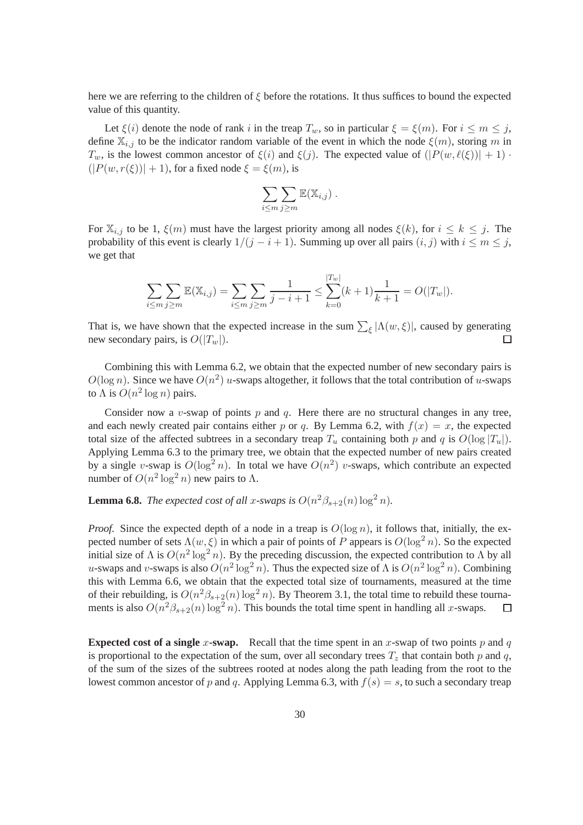here we are referring to the children of  $\xi$  before the rotations. It thus suffices to bound the expected value of this quantity.

Let  $\xi(i)$  denote the node of rank i in the treap  $T_w$ , so in particular  $\xi = \xi(m)$ . For  $i \le m \le j$ , define  $\mathbb{X}_{i,j}$  to be the indicator random variable of the event in which the node  $\xi(m)$ , storing m in  $T_w$ , is the lowest common ancestor of  $\xi(i)$  and  $\xi(j)$ . The expected value of  $(|P(w, \ell(\xi))| + 1)$ .  $(|P(w, r(\xi))| + 1)$ , for a fixed node  $\xi = \xi(m)$ , is

$$
\sum_{i\leq m}\sum_{j\geq m}\mathbb{E}(\mathbb{X}_{i,j})\ .
$$

For  $\mathbb{X}_{i,j}$  to be 1,  $\xi(m)$  must have the largest priority among all nodes  $\xi(k)$ , for  $i \leq k \leq j$ . The probability of this event is clearly  $1/(j - i + 1)$ . Summing up over all pairs  $(i, j)$  with  $i \le m \le j$ , we get that

$$
\sum_{i \leq m} \sum_{j \geq m} \mathbb{E}(\mathbb{X}_{i,j}) = \sum_{i \leq m} \sum_{j \geq m} \frac{1}{j-i+1} \leq \sum_{k=0}^{|T_w|} (k+1) \frac{1}{k+1} = O(|T_w|).
$$

That is, we have shown that the expected increase in the sum  $\sum_{\xi} |\Lambda(w, \xi)|$ , caused by generating new secondary pairs, is  $O(|T_w|)$ .

Combining this with Lemma 6.2, we obtain that the expected number of new secondary pairs is  $O(\log n)$ . Since we have  $O(n^2)$  u-swaps altogether, it follows that the total contribution of u-swaps to  $\Lambda$  is  $O(n^2 \log n)$  pairs.

Consider now a  $v$ -swap of points  $p$  and  $q$ . Here there are no structural changes in any tree, and each newly created pair contains either p or q. By Lemma 6.2, with  $f(x) = x$ , the expected total size of the affected subtrees in a secondary treap  $T_u$  containing both p and q is  $O(\log |T_u|)$ . Applying Lemma 6.3 to the primary tree, we obtain that the expected number of new pairs created by a single v-swap is  $O(\log^2 n)$ . In total we have  $O(n^2)$  v-swaps, which contribute an expected number of  $O(n^2 \log^2 n)$  new pairs to  $\Lambda$ .

**Lemma 6.8.** *The expected cost of all x-swaps is*  $O(n^2\beta_{s+2}(n)\log^2 n)$ *.* 

*Proof.* Since the expected depth of a node in a treap is  $O(\log n)$ , it follows that, initially, the expected number of sets  $\Lambda(w,\xi)$  in which a pair of points of P appears is  $O(\log^2 n)$ . So the expected initial size of  $\Lambda$  is  $O(n^2 \log^2 n)$ . By the preceding discussion, the expected contribution to  $\Lambda$  by all u-swaps and v-swaps is also  $O(n^2 \log^2 n)$ . Thus the expected size of  $\Lambda$  is  $O(n^2 \log^2 n)$ . Combining this with Lemma 6.6, we obtain that the expected total size of tournaments, measured at the time of their rebuilding, is  $O(n^2\beta_{s+2}(n)\log^2 n)$ . By Theorem 3.1, the total time to rebuild these tournaments is also  $O(n^2\beta_{s+2}(n)\log^2 n)$ . This bounds the total time spent in handling all x-swaps.  $\Box$ 

**Expected cost of a single x-swap.** Recall that the time spent in an x-swap of two points p and q is proportional to the expectation of the sum, over all secondary trees  $T_z$  that contain both p and q, of the sum of the sizes of the subtrees rooted at nodes along the path leading from the root to the lowest common ancestor of p and q. Applying Lemma 6.3, with  $f(s) = s$ , to such a secondary treap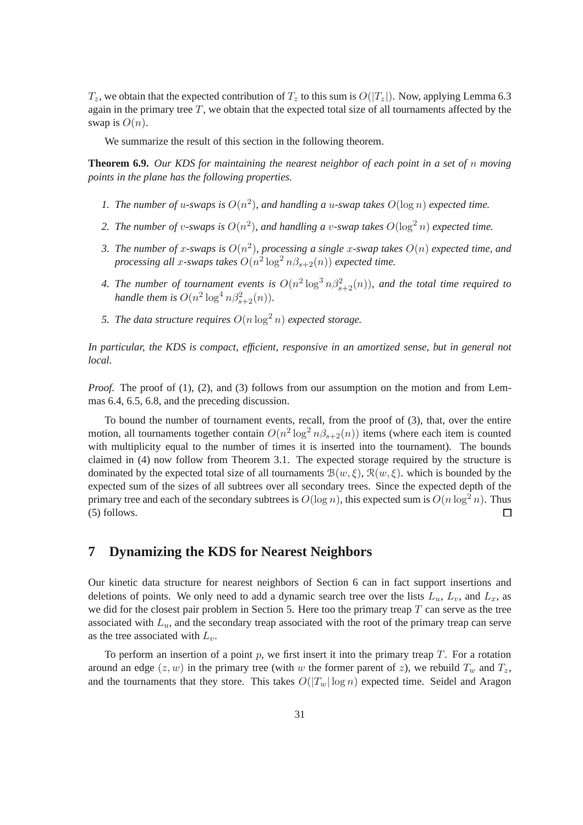$T_z$ , we obtain that the expected contribution of  $T_z$  to this sum is  $O(|T_z|)$ . Now, applying Lemma 6.3 again in the primary tree  $T$ , we obtain that the expected total size of all tournaments affected by the swap is  $O(n)$ .

We summarize the result of this section in the following theorem.

**Theorem 6.9.** *Our KDS for maintaining the nearest neighbor of each point in a set of* n *moving points in the plane has the following properties.*

- 1. The number of u-swaps is  $O(n^2)$ , and handling a u-swap takes  $O(\log n)$  expected time.
- 2. The number of v-swaps is  $O(n^2)$ , and handling a v-swap takes  $O(\log^2 n)$  expected time.
- 3. The number of x-swaps is  $O(n^2)$ , processing a single x-swap takes  $O(n)$  expected time, and *processing all x-swaps takes*  $O(n^2 \log^2 n \beta_{s+2}(n))$  *expected time.*
- 4. The number of tournament events is  $O(n^2 \log^3 n \beta_{s+2}^2(n))$ , and the total time required to *handle them is*  $O(n^2 \log^4 n \beta_{s+2}^2(n))$ *.*
- *5. The data structure requires*  $O(n \log^2 n)$  *expected storage.*

*In particular, the KDS is compact, efficient, responsive in an amortized sense, but in general not local.*

*Proof.* The proof of (1), (2), and (3) follows from our assumption on the motion and from Lemmas 6.4, 6.5, 6.8, and the preceding discussion.

To bound the number of tournament events, recall, from the proof of (3), that, over the entire motion, all tournaments together contain  $O(n^2 \log^2 n \beta_{s+2}(n))$  items (where each item is counted with multiplicity equal to the number of times it is inserted into the tournament). The bounds claimed in (4) now follow from Theorem 3.1. The expected storage required by the structure is dominated by the expected total size of all tournaments  $\mathcal{B}(w,\xi)$ ,  $\mathcal{R}(w,\xi)$ . which is bounded by the expected sum of the sizes of all subtrees over all secondary trees. Since the expected depth of the primary tree and each of the secondary subtrees is  $O(\log n)$ , this expected sum is  $O(n \log^2 n)$ . Thus (5) follows. П

# **7 Dynamizing the KDS for Nearest Neighbors**

Our kinetic data structure for nearest neighbors of Section 6 can in fact support insertions and deletions of points. We only need to add a dynamic search tree over the lists  $L_u$ ,  $L_v$ , and  $L_x$ , as we did for the closest pair problem in Section 5. Here too the primary treap  $T$  can serve as the tree associated with  $L<sub>u</sub>$ , and the secondary treap associated with the root of the primary treap can serve as the tree associated with  $L_v$ .

To perform an insertion of a point  $p$ , we first insert it into the primary treap  $T$ . For a rotation around an edge  $(z, w)$  in the primary tree (with w the former parent of z), we rebuild  $T_w$  and  $T_z$ , and the tournaments that they store. This takes  $O(|T_w| \log n)$  expected time. Seidel and Aragon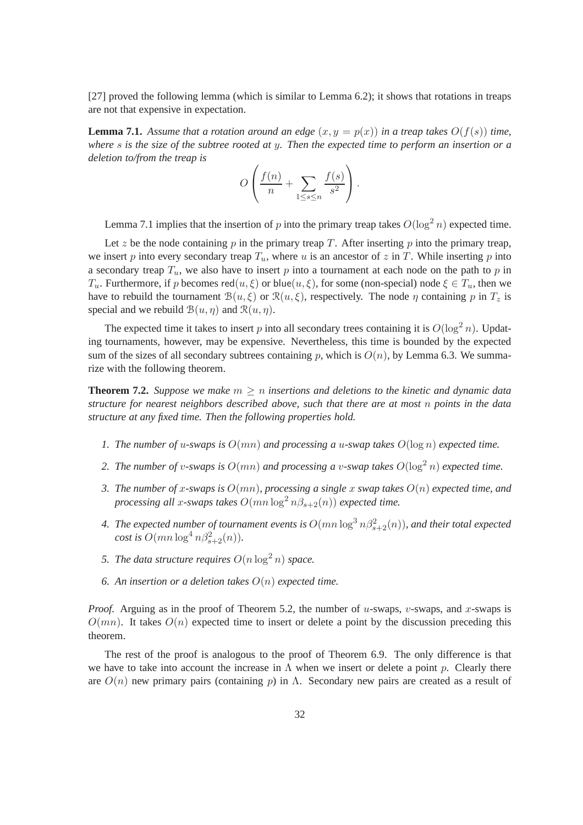[27] proved the following lemma (which is similar to Lemma 6.2); it shows that rotations in treaps are not that expensive in expectation.

**Lemma 7.1.** Assume that a rotation around an edge  $(x, y = p(x))$  in a treap takes  $O(f(s))$  time, *where* s *is the size of the subtree rooted at* y*. Then the expected time to perform an insertion or a deletion to/from the treap is*

$$
O\left(\frac{f(n)}{n} + \sum_{1 \le s \le n} \frac{f(s)}{s^2}\right).
$$

Lemma 7.1 implies that the insertion of p into the primary treap takes  $O(\log^2 n)$  expected time.

Let z be the node containing  $p$  in the primary treap  $T$ . After inserting  $p$  into the primary treap, we insert p into every secondary treap  $T_u$ , where u is an ancestor of z in T. While inserting p into a secondary treap  $T_u$ , we also have to insert p into a tournament at each node on the path to p in  $T_u$ . Furthermore, if p becomes red $(u, \xi)$  or blue $(u, \xi)$ , for some (non-special) node  $\xi \in T_u$ , then we have to rebuild the tournament  $\mathcal{B}(u, \xi)$  or  $\mathcal{R}(u, \xi)$ , respectively. The node  $\eta$  containing p in  $T_z$  is special and we rebuild  $B(u, \eta)$  and  $\mathcal{R}(u, \eta)$ .

The expected time it takes to insert p into all secondary trees containing it is  $O(\log^2 n)$ . Updating tournaments, however, may be expensive. Nevertheless, this time is bounded by the expected sum of the sizes of all secondary subtrees containing p, which is  $O(n)$ , by Lemma 6.3. We summarize with the following theorem.

**Theorem 7.2.** Suppose we make  $m \geq n$  insertions and deletions to the kinetic and dynamic data *structure for nearest neighbors described above, such that there are at most* n *points in the data structure at any fixed time. Then the following properties hold.*

- *1. The number of* u*-swaps is* O(mn) *and processing a* u*-swap takes* O(log n) *expected time.*
- 2. The number of v-swaps is  $O(mn)$  and processing a v-swap takes  $O(\log^2 n)$  expected time.
- *3. The number of* x*-swaps is* O(mn)*, processing a single* x *swap takes* O(n) *expected time, and processing all x-swaps takes*  $O(mn \log^2 n\beta_{s+2}(n))$  *expected time.*
- 4. The expected number of tournament events is  $O(mn\log^3 n\beta_{s+2}^2(n))$ , and their total expected *cost is*  $O(mn \log^4 n\beta_{s+2}^2(n))$ *.*
- *5. The data structure requires*  $O(n \log^2 n)$  *space.*
- *6. An insertion or a deletion takes* O(n) *expected time.*

*Proof.* Arguing as in the proof of Theorem 5.2, the number of u-swaps, v-swaps, and x-swaps is  $O(mn)$ . It takes  $O(n)$  expected time to insert or delete a point by the discussion preceding this theorem.

The rest of the proof is analogous to the proof of Theorem 6.9. The only difference is that we have to take into account the increase in  $\Lambda$  when we insert or delete a point p. Clearly there are  $O(n)$  new primary pairs (containing p) in Λ. Secondary new pairs are created as a result of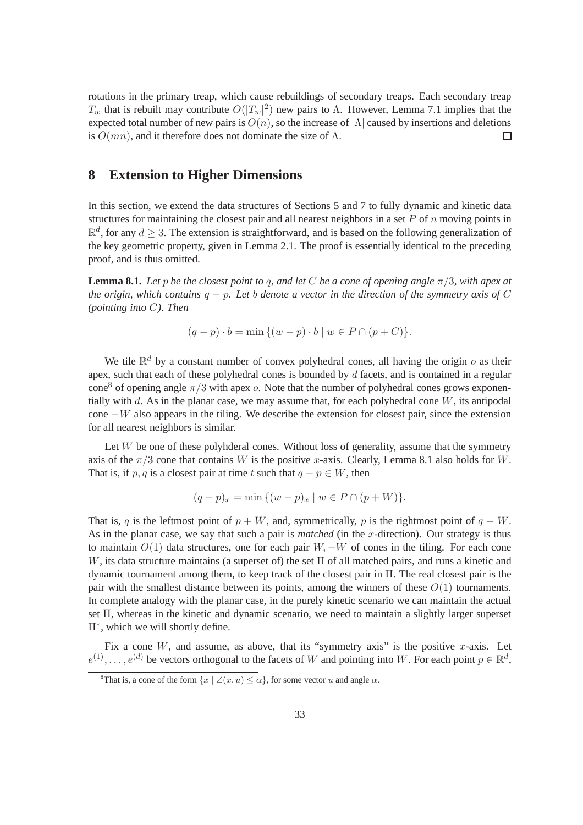rotations in the primary treap, which cause rebuildings of secondary treaps. Each secondary treap  $T_w$  that is rebuilt may contribute  $O(|T_w|^2)$  new pairs to Λ. However, Lemma 7.1 implies that the expected total number of new pairs is  $O(n)$ , so the increase of  $|\Lambda|$  caused by insertions and deletions is  $O(mn)$ . and it therefore does not dominate the size of  $\Lambda$ . is  $O(mn)$ , and it therefore does not dominate the size of  $\Lambda$ .

### **8 Extension to Higher Dimensions**

In this section, we extend the data structures of Sections 5 and 7 to fully dynamic and kinetic data structures for maintaining the closest pair and all nearest neighbors in a set  $P$  of  $n$  moving points in  $\mathbb{R}^d$ , for any  $d \geq 3$ . The extension is straightforward, and is based on the following generalization of the key geometric property, given in Lemma 2.1. The proof is essentially identical to the preceding proof, and is thus omitted.

**Lemma 8.1.** *Let* p *be the closest point to q, and let* C *be a cone of opening angle*  $\pi/3$ *, with apex at the origin, which contains* q − p*. Let* b *denote a vector in the direction of the symmetry axis of* C *(pointing into* C*). Then*

$$
(q - p) \cdot b = \min \{ (w - p) \cdot b \mid w \in P \cap (p + C) \}.
$$

We tile  $\mathbb{R}^d$  by a constant number of convex polyhedral cones, all having the origin  $o$  as their apex, such that each of these polyhedral cones is bounded by  $d$  facets, and is contained in a regular cone<sup>8</sup> of opening angle  $\pi/3$  with apex o. Note that the number of polyhedral cones grows exponentially with  $d$ . As in the planar case, we may assume that, for each polyhedral cone  $W$ , its antipodal cone −W also appears in the tiling. We describe the extension for closest pair, since the extension for all nearest neighbors is similar.

Let  $W$  be one of these polyhderal cones. Without loss of generality, assume that the symmetry axis of the  $\pi/3$  cone that contains W is the positive x-axis. Clearly, Lemma 8.1 also holds for W. That is, if p, q is a closest pair at time t such that  $q - p \in W$ , then

$$
(q-p)_x = \min \{ (w-p)_x \mid w \in P \cap (p+W) \}.
$$

That is, q is the leftmost point of  $p + W$ , and, symmetrically, p is the rightmost point of  $q - W$ . As in the planar case, we say that such a pair is *matched* (in the x-direction). Our strategy is thus to maintain  $O(1)$  data structures, one for each pair  $W, -W$  of cones in the tiling. For each cone  $W$ , its data structure maintains (a superset of) the set  $\Pi$  of all matched pairs, and runs a kinetic and dynamic tournament among them, to keep track of the closest pair in Π. The real closest pair is the pair with the smallest distance between its points, among the winners of these  $O(1)$  tournaments. In complete analogy with the planar case, in the purely kinetic scenario we can maintain the actual set Π, whereas in the kinetic and dynamic scenario, we need to maintain a slightly larger superset Π∗ , which we will shortly define.

Fix a cone W, and assume, as above, that its "symmetry axis" is the positive x-axis. Let  $e^{(1)}, \ldots, e^{(d)}$  be vectors orthogonal to the facets of W and pointing into W. For each point  $p \in \mathbb{R}^d$ ,

<sup>&</sup>lt;sup>8</sup>That is, a cone of the form  $\{x \mid \angle(x, u) \leq \alpha\}$ , for some vector u and angle  $\alpha$ .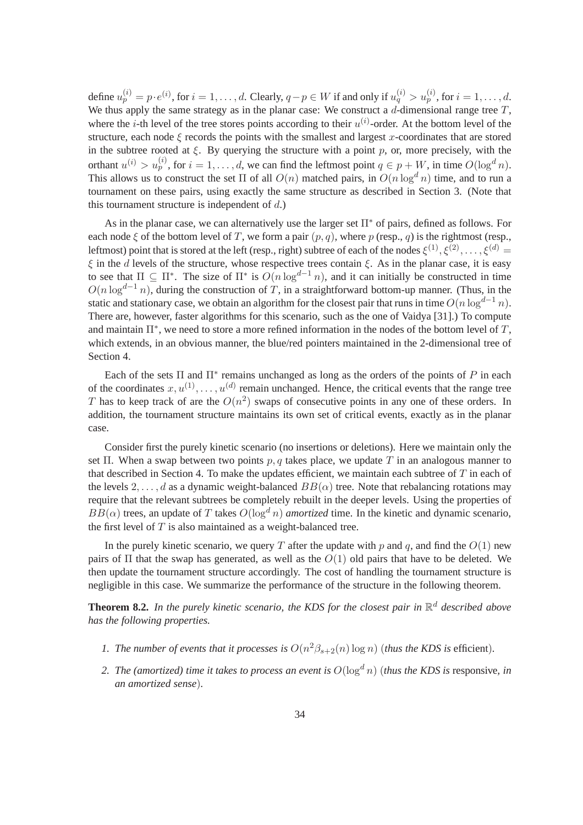define  $u_p^{(i)} = p \cdot e^{(i)}$ , for  $i = 1, \ldots, d$ . Clearly,  $q - p \in W$  if and only if  $u_q^{(i)} > u_p^{(i)}$ , for  $i = 1, \ldots, d$ . We thus apply the same strategy as in the planar case: We construct a  $d$ -dimensional range tree  $T$ , where the *i*-th level of the tree stores points according to their  $u^{(i)}$ -order. At the bottom level of the structure, each node  $\xi$  records the points with the smallest and largest x-coordinates that are stored in the subtree rooted at  $\xi$ . By querying the structure with a point p, or, more precisely, with the orthant  $u^{(i)} > u_p^{(i)}$ , for  $i = 1, ..., d$ , we can find the leftmost point  $q \in p + W$ , in time  $O(\log^d n)$ . This allows us to construct the set  $\Pi$  of all  $O(n)$  matched pairs, in  $O(n \log^d n)$  time, and to run a tournament on these pairs, using exactly the same structure as described in Section 3. (Note that this tournament structure is independent of  $d$ .)

As in the planar case, we can alternatively use the larger set  $\Pi^*$  of pairs, defined as follows. For each node  $\xi$  of the bottom level of T, we form a pair  $(p, q)$ , where p (resp., q) is the rightmost (resp., leftmost) point that is stored at the left (resp., right) subtree of each of the nodes  $\xi^{(1)}, \xi^{(2)}, \ldots, \xi^{(d)} =$  $\epsilon$  in the d levels of the structure, whose respective trees contain  $\epsilon$ . As in the planar case, it is easy to see that  $\Pi \subseteq \Pi^*$ . The size of  $\Pi^*$  is  $O(n \log^{d-1} n)$ , and it can initially be constructed in time  $O(n \log^{d-1} n)$ , during the construction of T, in a straightforward bottom-up manner. (Thus, in the static and stationary case, we obtain an algorithm for the closest pair that runs in time  $O(n \log^{d-1} n)$ . There are, however, faster algorithms for this scenario, such as the one of Vaidya [31].) To compute and maintain  $\Pi^*$ , we need to store a more refined information in the nodes of the bottom level of T, which extends, in an obvious manner, the blue/red pointers maintained in the 2-dimensional tree of Section 4.

Each of the sets  $\Pi$  and  $\Pi^*$  remains unchanged as long as the orders of the points of P in each of the coordinates  $x, u^{(1)}, \ldots, u^{(d)}$  remain unchanged. Hence, the critical events that the range tree T has to keep track of are the  $O(n^2)$  swaps of consecutive points in any one of these orders. In addition, the tournament structure maintains its own set of critical events, exactly as in the planar case.

Consider first the purely kinetic scenario (no insertions or deletions). Here we maintain only the set Π. When a swap between two points p, q takes place, we update T in an analogous manner to that described in Section 4. To make the updates efficient, we maintain each subtree of  $T$  in each of the levels 2, ..., d as a dynamic weight-balanced  $BB(\alpha)$  tree. Note that rebalancing rotations may require that the relevant subtrees be completely rebuilt in the deeper levels. Using the properties of  $BB(\alpha)$  trees, an update of T takes  $O(\log^d n)$  *amortized* time. In the kinetic and dynamic scenario, the first level of  $T$  is also maintained as a weight-balanced tree.

In the purely kinetic scenario, we query T after the update with p and q, and find the  $O(1)$  new pairs of  $\Pi$  that the swap has generated, as well as the  $O(1)$  old pairs that have to be deleted. We then update the tournament structure accordingly. The cost of handling the tournament structure is negligible in this case. We summarize the performance of the structure in the following theorem.

**Theorem 8.2.** *In the purely kinetic scenario, the KDS for the closest pair in* R <sup>d</sup> *described above has the following properties.*

- *1. The number of events that it processes is*  $O(n^2\beta_{s+2}(n) \log n)$  (*thus the KDS is* efficient).
- *2. The (amortized) time it takes to process an event is*  $O(\log^d n)$  (*thus the KDS is* responsive, *in an amortized sense*)*.*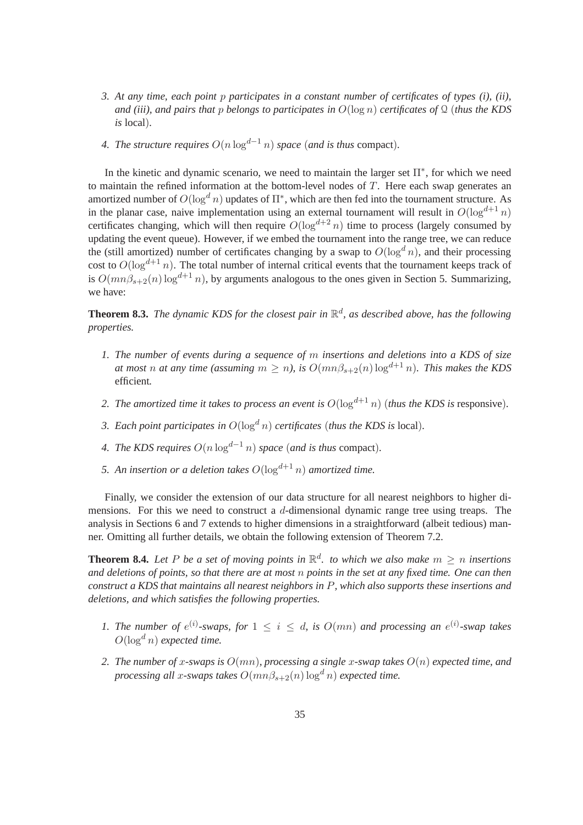- *3. At any time, each point* p *participates in a constant number of certificates of types (i), (ii), and (iii), and pairs that* p *belongs to participates in* O(log n) *certificates of* Q (*thus the KDS is* local)*.*
- *4. The structure requires*  $O(n \log^{d-1} n)$  *space* (*and is thus* compact).

In the kinetic and dynamic scenario, we need to maintain the larger set  $\Pi^*$ , for which we need to maintain the refined information at the bottom-level nodes of  $T$ . Here each swap generates an amortized number of  $O(\log^d n)$  updates of  $\Pi^*$ , which are then fed into the tournament structure. As in the planar case, naive implementation using an external tournament will result in  $O(\log^{d+1} n)$ certificates changing, which will then require  $O(\log^{d+2} n)$  time to process (largely consumed by updating the event queue). However, if we embed the tournament into the range tree, we can reduce the (still amortized) number of certificates changing by a swap to  $O(\log^d n)$ , and their processing cost to  $O(\log^{d+1} n)$ . The total number of internal critical events that the tournament keeps track of is  $O(mn\beta_{s+2}(n) \log^{d+1} n)$ , by arguments analogous to the ones given in Section 5. Summarizing, we have:

**Theorem 8.3.** *The dynamic KDS for the closest pair in* R d *, as described above, has the following properties.*

- *1. The number of events during a sequence of* m *insertions and deletions into a KDS of size at most n at any time (assuming*  $m \ge n$ ), is  $O(mn\beta_{s+2}(n) \log^{d+1} n)$ . This makes the KDS efficient*.*
- *2. The amortized time it takes to process an event is*  $O(\log^{d+1} n)$  (*thus the KDS is* responsive).
- *3. Each point participates in*  $O(\log^d n)$  *certificates (thus the KDS is* local).
- *4. The KDS requires*  $O(n \log^{d-1} n)$  *space* (*and is thus* compact).
- *5. An insertion or a deletion takes*  $O(\log^{d+1} n)$  *amortized time.*

Finally, we consider the extension of our data structure for all nearest neighbors to higher dimensions. For this we need to construct a d-dimensional dynamic range tree using treaps. The analysis in Sections 6 and 7 extends to higher dimensions in a straightforward (albeit tedious) manner. Omitting all further details, we obtain the following extension of Theorem 7.2.

**Theorem 8.4.** Let P be a set of moving points in  $\mathbb{R}^d$ , to which we also make  $m \geq n$  insertions *and deletions of points, so that there are at most* n *points in the set at any fixed time. One can then construct a KDS that maintains all nearest neighbors in* P*, which also supports these insertions and deletions, and which satisfies the following properties.*

- *1. The number of*  $e^{(i)}$ -swaps, for  $1 \leq i \leq d$ , is  $O(mn)$  and processing an  $e^{(i)}$ -swap takes  $O(\log^d n)$  *expected time.*
- *2. The number of* x*-swaps is* O(mn)*, processing a single* x*-swap takes* O(n) *expected time, and processing all x-swaps takes*  $O(mn\beta_{s+2}(n) \log^d n)$  *expected time.*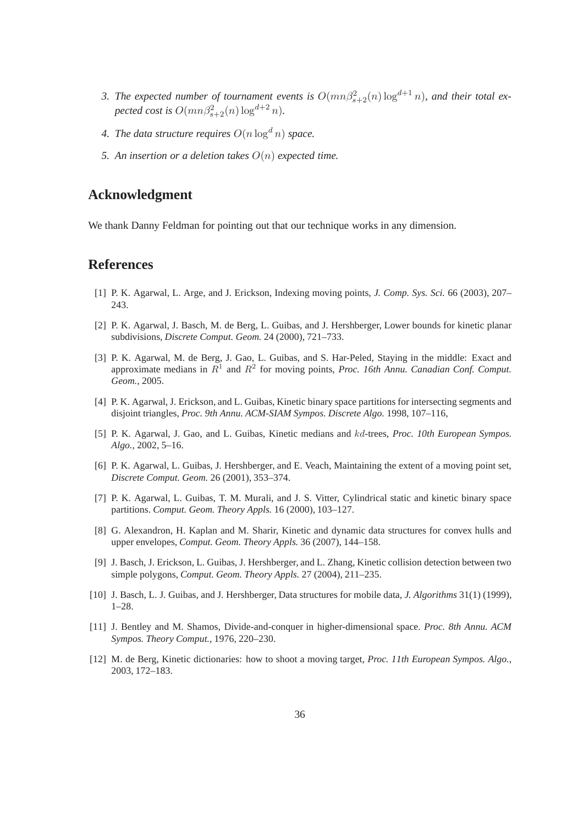- 3. The expected number of tournament events is  $O(mn\beta_{s+2}^2(n) \log^{d+1} n)$ , and their total ex*pected cost is*  $O(mn\beta_{s+2}^2(n) \log^{d+2} n)$ *.*
- 4. The data structure requires  $O(n \log^d n)$  space.
- *5. An insertion or a deletion takes* O(n) *expected time.*

#### **Acknowledgment**

We thank Danny Feldman for pointing out that our technique works in any dimension.

### **References**

- [1] P. K. Agarwal, L. Arge, and J. Erickson, Indexing moving points, *J. Comp. Sys. Sci.* 66 (2003), 207– 243.
- [2] P. K. Agarwal, J. Basch, M. de Berg, L. Guibas, and J. Hershberger, Lower bounds for kinetic planar subdivisions, *Discrete Comput. Geom.* 24 (2000), 721–733.
- [3] P. K. Agarwal, M. de Berg, J. Gao, L. Guibas, and S. Har-Peled, Staying in the middle: Exact and approximate medians in  $R<sup>1</sup>$  and  $R<sup>2</sup>$  for moving points, *Proc. 16th Annu. Canadian Conf. Comput. Geom.*, 2005.
- [4] P. K. Agarwal, J. Erickson, and L. Guibas, Kinetic binary space partitions for intersecting segments and disjoint triangles, *Proc. 9th Annu. ACM-SIAM Sympos. Discrete Algo.* 1998, 107–116,
- [5] P. K. Agarwal, J. Gao, and L. Guibas, Kinetic medians and kd-trees, *Proc. 10th European Sympos. Algo.*, 2002, 5–16.
- [6] P. K. Agarwal, L. Guibas, J. Hershberger, and E. Veach, Maintaining the extent of a moving point set, *Discrete Comput. Geom.* 26 (2001), 353–374.
- [7] P. K. Agarwal, L. Guibas, T. M. Murali, and J. S. Vitter, Cylindrical static and kinetic binary space partitions. *Comput. Geom. Theory Appls.* 16 (2000), 103–127.
- [8] G. Alexandron, H. Kaplan and M. Sharir, Kinetic and dynamic data structures for convex hulls and upper envelopes, *Comput. Geom. Theory Appls.* 36 (2007), 144–158.
- [9] J. Basch, J. Erickson, L. Guibas, J. Hershberger, and L. Zhang, Kinetic collision detection between two simple polygons, *Comput. Geom. Theory Appls.* 27 (2004), 211–235.
- [10] J. Basch, L. J. Guibas, and J. Hershberger, Data structures for mobile data, *J. Algorithms* 31(1) (1999), 1–28.
- [11] J. Bentley and M. Shamos, Divide-and-conquer in higher-dimensional space. *Proc. 8th Annu. ACM Sympos. Theory Comput.*, 1976, 220–230.
- [12] M. de Berg, Kinetic dictionaries: how to shoot a moving target, *Proc. 11th European Sympos. Algo.*, 2003, 172–183.